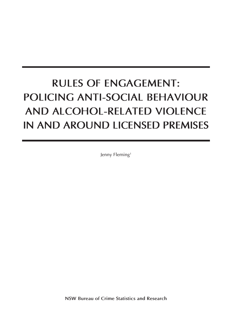# **Rules of Engagement: Policing anti-social behaviour and alcohol-related violence in and around licensed premises**

Jenny Fleming<sup>1</sup>

**NSW Bureau of Crime Statistics and Research**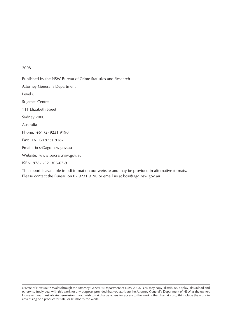#### 2008

Published by the NSW Bureau of Crime Statistics and Research Attorney General's Department Level 8 St James Centre 111 Elizabeth Street Sydney 2000 Australia Phone: +61 (2) 9231 9190 Fax: +61 (2) 9231 9187 Email: bcsr@agd.nsw.gov.au Website: www.bocsar.nsw.gov.au ISBN 978-1-921306-67-9

This report is available in pdf format on our website and may be provided in alternative formats. Please contact the Bureau on 02 9231 9190 or email us at bcsr@agd.nsw.gov.au

© State of New South Wales through the Attorney General's Department of NSW 2008. You may copy, distribute, display, download and otherwise freely deal with this work for any purpose, provided that you attribute the Attorney General's Department of NSW as the owner. However, you must obtain permission if you wish to (a) charge others for access to the work (other than at cost), (b) include the work in advertising or a product for sale, or (c) modify the work.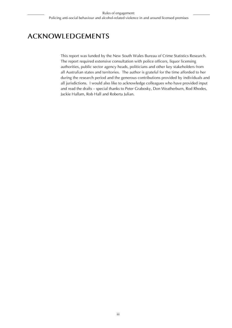# **ACKNOWLEDGEMENTS**

This report was funded by the New South Wales Bureau of Crime Statistics Research. The report required extensive consultation with police officers, liquor licensing authorities, public sector agency heads, politicians and other key stakeholders from all Australian states and territories. The author is grateful for the time afforded to her during the research period and the generous contributions provided by individuals and all jurisdictions. I would also like to acknowledge colleagues who have provided input and read the drafts – special thanks to Peter Grabosky, Don Weatherburn, Rod Rhodes, Jackie Hallam, Rob Hall and Roberta Julian.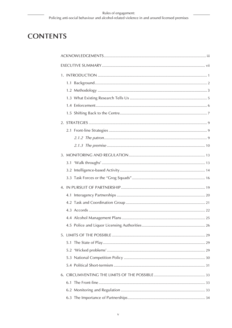# **CONTENTS**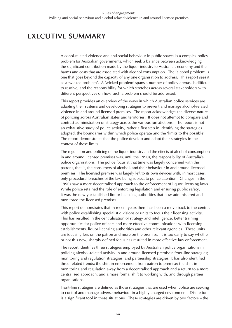# **EXECUTIVE SUMMARY**

Alcohol-related violence and anti-social behaviour in public spaces is a complex policy problem for Australian governments, which seek a balance between acknowledging the significant contribution made by the liquor industry to Australia's economy and the harms and costs that are associated with alcohol consumption. The 'alcohol problem' is one that goes beyond the capacity of any one organisation to address. This report sees it as a 'wicked problem'. A 'wicked problem' spans a number of policy arenas, is difficult to resolve, and the responsibility for which stretches across several stakeholders with different perspectives on how such a problem should be addressed.

This report provides an overview of the ways in which Australian police services are adapting their systems and developing strategies to prevent and manage alcohol-related violence in and around licensed premises. The report acknowledges the diverse nature of policing across Australian states and territories. It does not attempt to compare and contrast administration or strategy across the various jurisdictions. The report is not an exhaustive study of police activity, rather a first step in identifying the strategies adopted, the boundaries within which police operate and the 'limits to the possible'. The report demonstrates that the police develop and adapt their strategies in the context of these limits.

The regulation and policing of the liquor industry and the effects of alcohol consumption in and around licensed premises was, until the 1990s, the responsibility of Australia's police organisations. The police focus at that time was largely concerned with the patrons, that is, the consumers of alcohol, and their behaviour in and around licensed premises. The licensed premise was largely left to its own devices with, in most cases, only procedural breaches of the law being subject to police attention. Changes in the 1990s saw a more decentralised approach to the enforcement of liquor licensing laws. While police retained the role of enforcing legislation and ensuring public safety, it was the newly established liquor licensing authorities that now administered and monitored the licensed premises.

This report demonstrates that in recent years there has been a move back to the centre, with police establishing specialist divisions or units to focus their licensing activity. This has resulted in the centralisation of strategy and intelligence, better training opportunities for police officers and more effective communications with licensing establishments, liquor licensing authorities and other relevant agencies. These units are focusing less on the patron and more on the premise. It is too early to say whether or not this new, sharply defined focus has resulted in more effective law enforcement.

The report identifies three strategies employed by Australian police organisations in policing alcohol-related activity in and around licensed premises: front-line strategies; monitoring and regulation strategies; and partnership strategies. It has also identified three related trends: the shift in enforcement from patron to premise; the shift in monitoring and regulation away from a decentralised approach and a return to a more centralised approach; and a more formal shift to working with, and through partner organisations.

Front-line strategies are defined as those strategies that are used when police are seeking to control and manage adverse behaviour in a highly charged environment. Discretion is a significant tool in these situations. These strategies are driven by two factors – the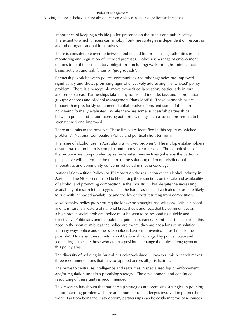importance of keeping a visible police presence on the streets and public safety. The extent to which officers can employ front-line strategies is dependent on resources and other organisational imperatives.

There is considerable overlap between police and liquor licensing authorities in the monitoring and regulation of licensed premises. Police use a range of enforcement options to fulfil their regulatory obligations, including: walk-throughs; intelligencebased activity; and task forces or "grog squads".

Partnership work between police, communities and other agencies has improved significantly and shows promising signs of effectively addressing this 'wicked' policy problem. There is a perceptible move towards collaboration, particularly in rural and remote areas. Partnerships take many forms and include: task and coordination groups; Accords and Alcohol Management Plans (AMPs). These partnerships are broader than previously documented collaborative efforts and some of them are now being formally evaluated. While there are some 'successful' partnerships between police and liquor licensing authorities, many such associations remain to be strengthened and improved.

There are limits to the possible. These limits are identified in this report as 'wicked problems', National Competition Policy and political short-termism.

The issue of alcohol use in Australia is a 'wicked problem'. The multiple stake-holders ensure that the problem is complex and impossible to resolve. The complexities of the problem are compounded by self-interested perspectives (whereby the particular perspective will determine the nature of the solution); different jurisdictional imperatives and community concerns reflected in media coverage.

National Competition Policy (NCP) impacts on the regulation of the alcohol industry in Australia. The NCP is committed to liberalising the restrictions on the sale and availability of alcohol and promoting competition in the industry. This, despite the increasing availability of research that suggests that the harms associated with alcohol use are likely to rise with increased availability and the lower costs resulting from competition.

Most complex policy problems require long-term strategies and solutions. While alcohol and its misuse is a feature of national broadsheets and regarded by communities as a high profile social problem, police must be seen to be responding quickly and effectively. Politicians and the public require reassurance. Front-line strategies fulfil this need in the short-term but as the police are aware, they are not a long-term solution. In many ways police and other stakeholders have circumvented these 'limits to the possible'. However, these limits cannot be formally changed by police. State and federal legislators are those who are in a position to change the 'rules of engagement' in this policy area.

The diversity of policing in Australia is acknowledged. However, this research makes three recommendations that may be applied across all jurisdictions.

The move to centralise intelligence and resources in specialised liquor enforcement and/or regulation units is a promising strategy. The development and continued resourcing of these units is recommended.

This research has shown that partnership strategies are promising strategies in policing liquor licensing problems. There are a number of challenges involved in partnership work. Far from being the 'easy option', partnerships can be costly in terms of resources,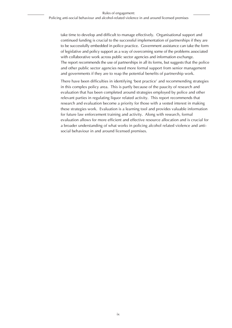take time to develop and difficult to manage effectively. Organisational support and continued funding is crucial to the successful implementation of partnerships if they are to be successfully embedded in police practice. Government assistance can take the form of legislative and policy support as a way of overcoming some of the problems associated with collaborative work across public sector agencies and information exchange. The report recommends the use of partnerships in all its forms, but suggests that the police and other public sector agencies need more formal support from senior management and governments if they are to reap the potential benefits of partnership work.

There have been difficulties in identifying 'best practice' and recommending strategies in this complex policy area. This is partly because of the paucity of research and evaluation that has been completed around strategies employed by police and other relevant parties in regulating liquor related activity. This report recommends that research and evaluation become a priority for those with a vested interest in making these strategies work. Evaluation is a learning tool and provides valuable information for future law enforcement training and activity. Along with research, formal evaluation allows for more efficient and effective resource allocation and is crucial for a broader understanding of what works in policing alcohol related violence and antisocial behaviour in and around licensed premises.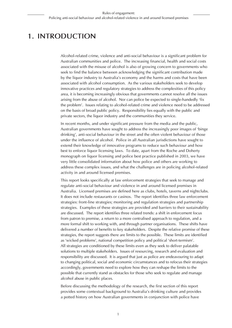# **1. Introduction**

Alcohol-related crime, violence and anti-social behaviour is a significant problem for Australian communities and police. The increasing financial, health and social costs associated with the misuse of alcohol is also of growing concern to governments who seek to find the balance between acknowledging the significant contribution made by the liquor industry to Australia's economy and the harms and costs that have been associated with alcohol consumption. As the various stakeholders seek to develop innovative practices and regulatory strategies to address the complexities of this policy area, it is becoming increasingly obvious that governments cannot resolve all the issues arising from the abuse of alcohol. Nor can police be expected to single-handedly 'fix the problem'. Issues relating to alcohol-related crime and violence need to be addressed on the basis of broad public policy. Responsibility lies equally with the public and private sectors, the liquor industry and the communities they service.

In recent months, and under significant pressure from the media and the public, Australian governments have sought to address the increasingly poor images of 'binge drinking', anti-social behaviour in the street and the often violent behaviour of those under the influence of alcohol. Police in all Australian jurisdictions have sought to extend their knowledge of innovative programs to reduce such behaviour and how best to enforce liquor licensing laws. To date, apart from the Roche and Doherty monograph on liquor licensing and police best practice published in 2003, we have very little consolidated information about how police and others are working to address these complex issues, and what the challenges are in policing alcohol-related activity in and around licensed premises.

This report looks specifically at law enforcement strategies that seek to manage and regulate anti-social behaviour and violence in and around licensed premises in Australia. Licensed premises are defined here as clubs, hotels, taverns and nightclubs. It does not include restaurants or casinos. The report identifies three law enforcement strategies: front-line strategies; monitoring and regulation strategies and partnership strategies. Examples of these strategies are provided and barriers to their sustainability are discussed. The report identifies three related trends: a shift in enforcement focus from patron to premise, a return to a more centralised approach to regulation, and a more formal shift to working with, and through partner organisations. These shifts have delivered a number of benefits to key stakeholders. Despite the relative promise of these strategies, the report suggests there are limits to the possible. These limits are identified as 'wicked problems', national competition policy and political 'short-termism'. All strategies are conditioned by these limits even as they seek to deliver palatable solutions to multiple stakeholders. Issues of resourcing, research and evaluation and responsibility are discussed. It is argued that just as police are endeavouring to adapt to changing political, social and economic circumstances and to refocus their strategies accordingly, governments need to explore how they can reshape the limits to the possible that currently stand as obstacles for those who seek to regulate and manage alcohol abuse in public places.

Before discussing the methodology of the research, the first section of this report provides some contextual background to Australia's drinking culture and provides a potted history on how Australian governments in conjunction with police have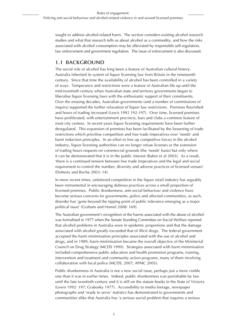sought to address alcohol-related harm. The section considers existing alcohol research studies and what that research tells us about alcohol as a commodity, and how the risks associated with alcohol consumption may be alleviated by responsible self-regulation, law enforcement and government regulation. The issue of enforcement is also discussed.

### **1.1 Background**

The social role of alcohol has long been a feature of Australian cultural history. Australia inherited its system of liquor licensing law from Britain in the nineteenth century. Since that time the availability of alcohol has been controlled in a variety of ways. Temperance and restrictions were a feature of Australian life up until the mid-twentieth century when Australian state and territory governments began to liberalise liquor licensing laws with the enthusiastic support of their constituents. Over the ensuing decades, Australian governments (and a number of commissions of inquiry) supported the further relaxation of liquor law restrictions. Premises flourished and hours of trading increased (Lewis 1992 192-197). Over time, licensed premises have proliferated, with entertainment precincts, bars and clubs a common feature of most city centres. In recent years liquor licensing requirements have been further deregulated. This expansion of premises has been facilitated by the loosening of trade restrictions which prioritise competition and free trade imperatives over 'needs' and harm reduction principles. In an effort to free up competitive forces in the alcohol industry, liquor licensing authorities can no longer refuse licenses or the extension of trading hours requests on commercial grounds (the 'needs' basis) but only where it can be demonstrated that it is in the public interest (Babor et al 2003). As a result, 'there is a continued tension between free trade imperatives and the legal and social requirement to control the number, diversity and adverse practices of licensed venues' (Doherty and Roche 2003: 14).

In more recent times, unfettered competition in the liquor retail industry has arguably been instrumental in encouraging dubious practices across a small proportion of licensed premises. Public drunkenness, anti-social behaviour and violence have become serious concerns for governments, police and affected communities, as such, disorder has 'gone beyond the tipping point of public tolerance emerging as a major political issue' (Graham and Homel 2008: 169).

The Australian government's recognition of the harms associated with the abuse of alcohol was formalised in 1977 when the Senate Standing Committee on Social Welfare reported that alcohol problems in Australia were in epidemic proportions and that the damage associated with alcohol greatly exceeded that of illicit drugs. The federal government accepted the harm minimisation principles associated with the use of alcohol and drugs, and in 1989, harm minimisation became the overall objective of the Ministerial Council on Drug Strategy (MCDS 1990). Strategies associated with harm minimisation included comprehensive public education and health promotion programs, training, intervention and treatment and community action programs, many of them involving collaboration with local police (MCDS, 2007; APMC 2005).

Public drunkenness in Australia is not a new social issue, perhaps just a more visible one than it was in earlier times. Indeed, public drunkenness was punishable by law until the late twentieth century and it is still on the statute books in the State of Victoria (Lewis 1992: 197; Grabosky 1977). Accessibility to media footage, newspaper photographs and 'ready to serve' statistics has demonstrated to governments and communities alike that Australia has 'a serious social problem that requires a serious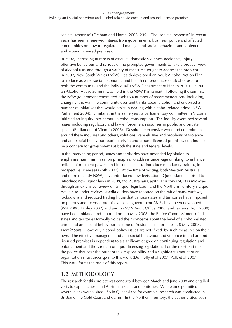societal response' (Graham and Homel 2008: 239). The 'societal response' in recent years has seen a renewed interest from governments, business, police and affected communities on how to regulate and manage anti-social behaviour and violence in and around licensed premises.

In 2002, increasing numbers of assaults, domestic violence, accidents, injury, offensive behaviour and serious crime prompted governments to take a broader view of alcohol use, and through a variety of measures sought to address the problem. In 2002, New South Wales (NSW) Health developed an Adult Alcohol Action Plan to 'reduce adverse social, economic and health consequences of alcohol use for both the community and the individual' (NSW Department of Health 2003). In 2003, an Alcohol Abuse Summit was held in the NSW Parliament. Following the summit, the NSW government committed itself to a number of recommendations, including, changing 'the way the community uses and thinks about alcohol' and endorsed a number of initiatives that would assist in dealing with alcohol-related crime (NSW Parliament 2004). Similarly, in the same year, a parliamentary committee in Victoria initiated an inquiry into harmful alcohol consumption. The inquiry examined several issues including regulatory and law enforcement responses in public and private spaces (Parliament of Victoria 2006). Despite the extensive work and commitment around these inquiries and others, solutions were elusive and problems of violence and anti-social behaviour, particularly in and around licensed premises, continue to be a concern for governments at both the state and federal levels.

In the intervening period, states and territories have amended legislation to emphasise harm minimisation principles, to address under-age drinking, to enhance police enforcement powers and in some states to introduce mandatory training for prospective licensees (Roth 2007). At the time of writing, both Western Australia and more recently NSW, have introduced new legislation. Queensland is poised to introduce new liquor laws in 2009, the Australian Capital Territory (ACT) is mid-way through an extensive review of its liquor legislation and the Northern Territory's Liquor Act is also under review. Media outlets have reported on the raft of bans, curfews, lockdowns and reduced trading hours that various states and territories have imposed on patrons and licensed premises. Local government AMPs have been developed (WA 2008; Dibley 2007) and audits (NSW Audit Office 2008) and reviews (ACT 2008) have been initiated and reported on. In May 2008, the Police Commissioners of all states and territories formally voiced their concerns about the level of alcohol-related crime and anti-social behaviour in some of Australia's major cities (28 May 2008, *Herald Sun*). However, alcohol policy issues are not 'fixed' by such measures on their own. The effective management of anti-social behaviour and violence in and around licensed premises is dependent to a significant degree on continuing regulation and enforcement and the strength of liquor licensing legislation. For the most part it is the police that bear the brunt of this responsibility and a significant amount of an organisation's resources go into this work (Donnelly et al 2007; Palk et al 2007). This work forms the basis of this report.

#### **1.2 Methodology**

The research for this project was conducted between March and June 2008 and entailed visits to capital cities in all Australian states and territories. Where time permitted, several cities were visited. So in Queensland for example, research was conducted in Brisbane, the Gold Coast and Cairns. In the Northern Territory, the author visited both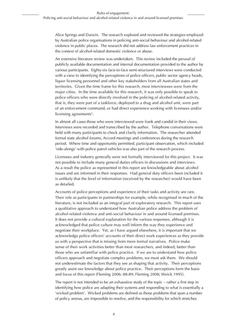Alice Springs and Darwin. The research explored and reviewed the strategies employed by Australian police organisations in policing anti-social behaviour and alcohol-related violence in public places. The research did not address law enforcement practices in the context of alcohol-related domestic violence or abuse.

An extensive literature review was undertaken. This review included the perusal of publicly available documentation and internal documentation provided to the author by various participants. Eighty-six face-to-face semi-structured interviews were conducted with a view to identifying the perceptions of police officers, public sector agency heads, liquor licensing personnel and other key stakeholders from all Australian states and territories. Given the time frame for this research, most interviewees were from the major cities. In the time available for this research, it was only possible to speak to police officers who were directly involved in the policing of alcohol-related activity, that is, they were part of a taskforce, deployed to a drug and alcohol unit, were part of an enforcement command, or had direct experience working with licensees and/or licensing agreements<sup>2</sup>.

In almost all cases those who were interviewed were frank and candid in their views. Interviews were recorded and transcribed by the author. Telephone conversations were held with many participants to check and clarify information. The researcher attended formal state alcohol forums, Accord meetings and conferences during the research period. Where time and opportunity permitted, participant observation, which included 'ride-alongs' with police patrol vehicles was also part of the research process.

Licensees and industry generally were not formally interviewed for this project. It was not possible to include many general duties officers in discussions and interviews. As a result the police as represented in this report are knowledgeable about alcohol issues and are informed in their responses. Had general duty officers been included it is unlikely that the level of information (received by the researcher) would have been as detailed.

Accounts of police perceptions and experience of their tasks and activity are rare. Their role as participants in partnerships for example, while recognised in much of the literature, is not included as an integral part of exploratory research. This report uses a qualitative approach to understand how Australian police address the problem of alcohol-related violence and anti-social behaviour in and around licensed premises. It does not provide a cultural explanation for the various responses, although it is acknowledged that police culture may well inform the way they experience and negotiate their workplace. Yet, as I have argued elsewhere, it is important that we acknowledge police officers' accounts of their direct work experiences as they provide us with a perspective that is missing from more formal narratives. Police make sense of their work activities better than most researchers, and indeed, better than those who are unfamiliar with police practice. If we are to understand how police officers approach and negotiate complex problems, we must ask them. We should not underestimate the factors that they see as shaping that activity. Their perceptions greatly assist our knowledge about police practice. Their perceptions form the basis and focus of this report (Fleming 2006: 88-89; Fleming 2008; Weick 1995).

The report is not intended to be an exhaustive study of the topic – rather a first step in identifying how police are adapting their systems and responding to what is essentially a 'wicked problem'. Wicked problems are defined as those problems that span a number of policy arenas, are impossible to resolve, and the responsibility for which stretches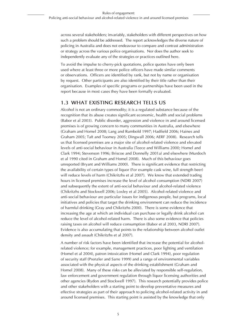across several stakeholders; invariably, stakeholders with different perspectives on how such a problem should be addressed. The report acknowledges the diverse nature of policing in Australia and does not endeavour to compare and contrast administration or strategy across the various police organisations. Nor does the author seek to independently evaluate any of the strategies or practices outlined here.

To avoid the impulse to cherry-pick quotations, police quotes have only been used where at least three or more police officers have made similar comments or observations. Officers are identified by rank, but not by name or organisation by request. Other participants are also identified by their title rather than their organisation. Examples of specific programs or partnerships have been used in the report because in most cases they have been formally evaluated.

#### **1.3 What Existing Research Tells Us**

Alcohol is not an ordinary commodity; it is a regulated substance because of the recognition that its abuse creates significant economic, health and social problems (Babor et al 2003). Public disorder, aggression and violence in and around licensed premises is of growing concern to many communities in Australia, and elsewhere (Graham and Homel 2008; Lang and Rumbold 1997; Hadfield 2006; Haines and Graham 2005; Taft and Toomey 2005; Dingwall 2006; AERF 2008). Research tells us that licensed premises are a major site of alcohol-related violence and elevated levels of anti-social behaviour in Australia (Teece and Williams 2000; Homel and Clark 1994; Stevenson 1996; Briscoe and Donnelly 2001a) and elsewhere (Murdoch et al 1990 cited in Graham and Homel 2008). Much of this behaviour goes unreported (Bryant and Williams 2000). There is significant evidence that restricting the availability of certain types of liquor (For example cask wine, full strength beer) will reduce levels of harm (Chikritzhs et al 2007). We know that extended trading hours in licensed premises increase the level of alcohol consumption (NDRI 2007) and subsequently the extent of anti-social behaviour and alcohol-related violence (Chikritzhs and Stockwell 2006; Loxley et al 2005). Alcohol-related violence and anti-social behaviour are particular issues for indigenous people, but programs, local initiatives and policies that target the drinking environment can reduce the incidence of harmful drinking (Gray and Chikritzhs 2000). There is some evidence that increasing the age at which an individual can purchase or legally drink alcohol can reduce the level of alcohol-related harm. There is also some evidence that policies raising taxes on alcohol will reduce consumption (Babor et al 2003, NDRI 2007). Evidence is also accumulating that points to the relationship between alcohol outlet density and assault (Chikritzhs et al 2007).

A number of risk factors have been identified that increase the potential for alcoholrelated violence; for example, management practices, poor lighting and ventilation (Homel et al 2004), patron intoxication (Homel and Clark 1994), poor regulation of security staff (Prenzler and Sarre 1999) and a range of environmental variables associated with the physical aspects of the drinking establishment (Graham and Homel 2008). Many of these risks can be alleviated by responsible self-regulation, law enforcement and government regulation through liquor licensing authorities and other agencies (Rydon and Stockwell 1997). This research potentially provides police and other stakeholders with a starting point to develop preventative measures and effective strategies as part of their approach to policing alcohol-related activity in and around licensed premises. This starting point is assisted by the knowledge that only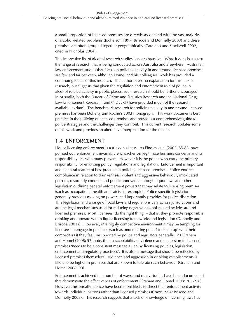a small proportion of licensed premises are directly associated with the vast majority of alcohol-related problems (Jochelson 1997; Briscoe and Donnelly 2003) and these premises are often grouped together geographically (Catalano and Stockwell 2002, cited in Nicholas 2004).

This impressive list of alcohol research studies is not exhaustive. What it does is suggest the range of research that is being conducted across Australia and elsewhere. Australian law enforcement studies that focus on policing activity in and around licensed premises are few and far between, although Homel and his colleagues' work has provided a continuing focus for this research. The author offers no explanation for this lack of research, but suggests that given the regulation and enforcement role of police in alcohol-related activity in public places, such research should be further encouraged. In Australia, both the Bureau of Crime and Statistics Research and the National Drug Law Enforcement Research Fund (NDLERF) have provided much of the research available to date<sup>3</sup>. The benchmark research for policing activity in and around licensed premises has been Doherty and Roche's 2003 monograph. This work documents best practice in the policing of licensed premises and provides a comprehensive guide to police strategies and the challenges they confront. This current research updates some of this work and provides an alternative interpretation for the reader.

### **1.4 Enforcement**

Liquor licensing enforcement is a tricky business. As Findlay et al (2002: 85-86) have pointed out, enforcement invariably encroaches on legitimate business concerns and its responsibility lies with many players. However it is the police who carry the primary responsibility for enforcing policy, regulations and legislation. Enforcement is important and a central feature of best practice in policing licensed premises. Police enforce compliance in relation to drunkenness, violent and aggressive behaviour, intoxicated persons, disorderly conduct and public annoyance through liquor laws and other legislation outlining general enforcement powers that may relate to licensing premises (such as occupational health and safety for example). Police-specific legislation generally provides moving on powers and importantly provides for police discretion. This legislation and a range of local laws and regulations vary across jurisdictions and are the legal mechanisms used for reducing negative alcohol-related activity around licensed premises. Most licensees 'do the right thing' – that is, they promote responsible drinking and operate within liquor licensing frameworks and legislation (Donnelly and Briscoe 2001a). However, in a highly competitive environment it may be tempting for licensees to engage in practices (such as undercutting prices) to 'keep up' with their competitors if they feel unsupported by police and regulators generally. As Graham and Homel (2008: 57) note, the unacceptability of violence and aggression in licensed premises 'needs to be a consistent message given by licensing policies, legislation, enforcement and regulatory practices'. It is also a message that should be reflected by licensed premises themselves. Violence and aggression in drinking establishments is likely to be higher in premises that are known to tolerate such behaviour (Graham and Homel 2008: 90).

Enforcement is achieved in a number of ways, and many studies have been documented that demonstrate the effectiveness of enforcement (Graham and Homel 2008: 205-216). However, historically, police have been more likely to direct their enforcement activity towards individual patrons rather than licensed premises (Craze 1994; Briscoe and Donnelly 2003). This research suggests that a lack of knowledge of licensing laws has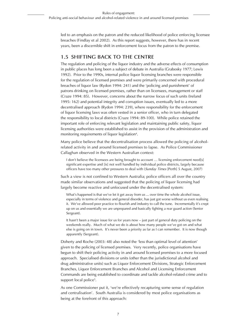led to an emphasis on the patron and the reduced likelihood of police enforcing licensee breaches (Findlay et al 2002). As this report suggests, however, there has in recent years, been a discernible shift in enforcement focus from the patron to the premise.

### **1.5 Shifting back to the Centre**

The regulation and policing of the liquor industry and the adverse effects of consumption in public places has long been a subject of debate in Australia (Grabosky 1977; Lewis 1992). Prior to the 1990s, internal police liquor licensing branches were responsible for the regulation of licensed premises and were primarily concerned with procedural breaches of liquor law (Rydon 1994: 241) and the 'policing and punishment' of patrons drinking on licensed premises, rather than on licensees, management or staff (Craze 1994: 85). However, concerns about the narrow focus of such units (Ireland 1995: 162) and potential integrity and corruption issues, eventually led to a more decentralised approach (Rydon 1994: 239), where responsibility for the enforcement of liquor licensing laws was often vested in a senior officer, who in turn delegated the responsibility to local districts (Craze 1994: 89-100). While police retained the important role of enforcing relevant legislation and maintaining public safety, liquor licensing authorities were established to assist in the provision of the administration and monitoring requirements of liquor legislation<sup>4</sup>.

Many police believe that the decentralisation process allowed the policing of alcoholrelated activity in and around licensed premises to lapse. As Police Commissioner Callaghan observed in the Western Australian context:

I don't believe the licensees are being brought to account ... licensing enforcement need[s] significant expertise and [is] not well handled by individual police districts, largely because officers have too many other pressures to deal with (*Sunday Times* [Perth] 5 August, 2007)

Such a view is not confined to Western Australia; police officers all over the country made similar observations and suggested that the policing of liquor licensing had largely become reactive and unfocused under the decentralised system:

What's happened is that we've let it get away from us ... over time the whole alcohol issue, especially in terms of violence and general disorder, has just got worse without us even realising it. We've allowed poor practice to flourish and industry to call the tune. Incrementally it's crept up on us and essentially we are unprepared and basically fighting a rear guard action (Senior Sergeant).

It hasn't been a major issue for us for years now – just part of general duty policing on the weekends really. Much of what we do is about how many people we've got on and what else is going on in town. It's never been a priority as far as I can remember. It is now though apparently (Sergeant).

Doherty and Roche (2003: 48) also noted the 'less than optimal level of attention' given to the policing of licensed premises. Very recently, police organisations have begun to shift their policing activity in and around licensed premises to a more focused approach. Specialised divisions or units (other than the jurisdictional alcohol and drug administrative units) such as Liquor Enforcement Divisions, Strategic Enforcement Branches, Liquor Enforcement Branches and Alcohol and Licensing Enforcement Commands are being established to coordinate and tackle alcohol-related crime and to support local police<sup>5</sup>.

As one Commissioner put it, 'we're effectively recapturing some sense of regulation and centralisation'. South Australia is considered by most police organisations as being at the forefront of this approach: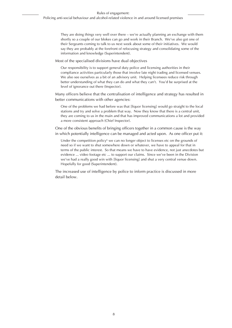They are doing things very well over there – we're actually planning an exchange with them shortly so a couple of our blokes can go and work in their Branch. We've also got one of their Sergeants coming to talk to us next week about some of their initiatives. We would say they are probably at the forefront of refocusing strategy and consolidating some of the information and knowledge (Superintendent).

Most of the specialised divisions have dual objectives

Our responsibility is to support general duty police and licensing authorities in their compliance activities particularly those that involve late night trading and licensed venues. We also see ourselves as a bit of an advisory unit. Helping licensees reduce risk through better understanding of what they can do and what they can't. You'd be surprised at the level of ignorance out there (Inspector).

Many officers believe that the centralisation of intelligence and strategy has resulted in better communications with other agencies:

One of the problems we had before was that [liquor licensing] would go straight to the local stations and try and solve a problem that way. Now they know that there is a central unit, they are coming to us in the main and that has improved communications a lot and provided a more consistent approach (Chief Inspector).

One of the obvious benefits of bringing officers together in a common cause is the way in which potentially intelligence can be managed and acted upon. As one officer put it:

Under the competition policy<sup>6</sup> we can no longer object to licenses etc on the grounds of need so if we want to shut somewhere down or whatever, we have to appeal for that in terms of the public interest. So that means we have to have evidence, not just anecdotes but evidence ... video footage etc ... to support our claims. Since we've been in the Division we've had a really good win with [liquor licensing] and shut a very central venue down. Hopefully for good (Superintendent).

The increased use of intelligence by police to inform practice is discussed in more detail below.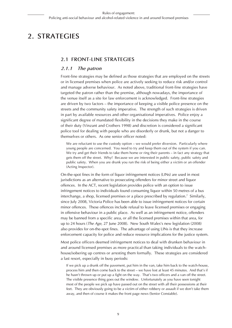# **2. Strategies**

#### **2.1 Front-line Strategies**

#### *2.1.1 The patron*

Front-line strategies may be defined as those strategies that are employed on the streets or in licensed premises when police are actively seeking to reduce risk and/or control and manage adverse behaviour. As noted above, traditional front-line strategies have targeted the patron rather than the premise, although nowadays, the importance of the venue itself as a site for law enforcement is acknowledged. Front-line strategies are driven by two factors – the importance of keeping a visible police presence on the streets and the community safety imperative. The strength of such strategies is driven in part by available resources and other organisational imperatives. Police enjoy a significant degree of mandated flexibility in the decisions they make in the course of their duty (Vinzant and Crothers 1998) and discretion is considered a significant police tool for dealing with people who are disorderly or drunk, but not a danger to themselves or others. As one senior officer noted:

We are reluctant to use the custody option – we would prefer diversion. Particularly where young people are concerned. You need to try and keep them out of the system if you can. We try and get their friends to take them home or ring their parents – in fact any strategy that gets them off the street. Why? Because we are interested in public safety, public safety and public safety. When you are drunk you run the risk of being either a victim or an offender (Acting Inspector).

On-the-spot fines in the form of liquor infringement notices (LINs) are used in most jurisdictions as an alternative to prosecuting offenders for minor street and liquor offences. In the ACT, recent legislation provides police with an option to issue infringement notices to individuals found consuming liquor within 50 metres of a bus interchange, a shop, licensed premises or a place prescribed by regulation.7 Similarly, since July 2008, Victoria Police has been able to issue infringement notices for certain minor offences. These offences include refusal to leave licensed premises or engaging in offensive behaviour in a public place. As well as an infringement notice, offenders may be banned from a specific area, or all the licensed premises within that area, for up to 24 hours (*The Age*, 27 June 2008). New South Wales's new legislation (2008) also provides for on-the-spot fines. The advantage of using LINs is that they increase enforcement capacity for police and reduce resource implications for the justice system.

Most police officers deemed infringement notices to deal with drunken behaviour in and around licensed premises as more practical than taking individuals to the watchhouse/sobering up centres or arresting them formally. These strategies are considered a last resort, especially in busy periods:

If we pick up a drunk off the pavement, put him in the van, take him back to the watch-house, process him and then come back to the street – we have lost at least 45 minutes. And that's if he hasn't thrown up or put up a fight on the way. That's two officers and a van off the street. The visible presence thing goes out the window. Unfortunately as you have seen tonight most of the people we pick up have passed out on the street with all their possessions at their feet. They are obviously going to be a victim of either robbery or assault if we don't take them away, and then of course it makes the front page news (Senior Constable).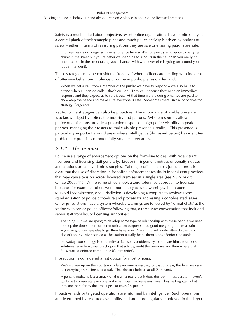Safety is a much talked about objective. Most police organisations have public safety as a central plank of their strategic plans and much police activity is driven by notions of safety – either in terms of reassuring patrons they are safe or ensuring patrons are safe:

Drunkenness is no longer a criminal offence here so it's not exactly an offence to be lying drunk in the street but you're better off spending four hours in the cell than you are lying unconscious in the street taking your chances with what ever else is going on around you (Superintendent).

These strategies may be considered 'reactive' where officers are dealing with incidents of offensive behaviour, violence or crime in public places on demand:

When we get a call from a member of the public we have to respond – we also have to attend when a licensee calls – that's our job. They call because they need an immediate response and they expect us to sort it out. At that time we are doing what we are paid to do – keep the peace and make sure everyone is safe. Sometimes there isn't a lot of time for strategy (Sergeant).

Yet front-line strategies can also be proactive. The importance of visible presence is acknowledged by police, the industry and patrons. Where resources allow, police organisations provide a proactive response – high police visibility in peak periods, managing their rosters to make visible presence a reality. This presence is particularly important around areas where intelligence (discussed below) has identified problematic premises or potentially volatile street areas.

#### *2.1.2 The premise*

Police use a range of enforcement options on the front-line to deal with recalcitrant licensees and licensing staff generally. Liquor infringement notices or penalty notices and cautions are all available strategies. Talking to officers across jurisdictions it is clear that the use of discretion in front-line enforcement results in inconsistent practices that may cause tension across licensed premises in a single area (see NSW Audit Office 2008: 41). While some officers took a zero tolerance approach to licensee breaches for example, others were more likely to issue warnings. In an attempt to avoid inconsistency, one jurisdiction is developing a template to achieve some standardisation of police procedure and process for addressing alcohol-related issues. Other jurisdictions have a system whereby warnings are followed by 'formal chats' at the station with senior police officers; following that, a three-way conversation that included senior staff from liquor licensing authorities:

The thing is if we are going to develop some type of relationship with these people we need to keep the doors open for communication purposes. No good me going in like a train – you've got nowhere else to go then have you? A warning will quite often do the trick, if it doesn't an invitation for tea at the station usually helps them along (Senior Constable).

Nowadays our strategy is to identify a licensee's problem, try to educate him about possible solutions, give him time to act upon that advice, audit the premises and then where that fails, start to enforce compliance (Commander).

Prosecution is considered a last option for most officers:

We've given up on the courts – while everyone is waiting for that process, the licensees are just carrying on business as usual. That doesn't help us at all (Sergeant).

A penalty notice is just a smack on the wrist really but it does the job in most cases. I haven't got time to prosecute everyone and what does it achieve anyway? They've forgotten what they are there for by the time it gets to court (Inspector).

Proactive raids or targeted operations are informed by intelligence. Such operations are determined by resource availability and are more regularly employed in the larger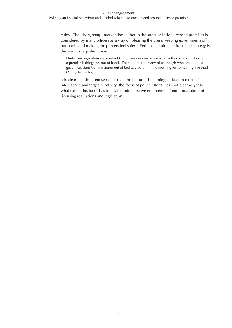cities. The 'short, sharp intervention' either in the street or inside licensed premises is considered by many officers as a way of 'pleasing the press, keeping governments off our backs and making the punters feel safer'. Perhaps the ultimate front-line strategy is the 'short, sharp shut down':

Under our legislation an Assistant Commissioner can be asked to authorise a shut down of a premise if things get out of hand. There aren't too many of us though who are going to get an Assistant Commissioner out of bed at 2.00 am in the morning for something like that! (Acting Inspector).

It is clear that the premise rather than the patron is becoming, at least in terms of intelligence and targeted activity, the focus of police efforts. It is not clear as yet to what extent this focus has translated into effective enforcement (and prosecution) of licensing regulations and legislation.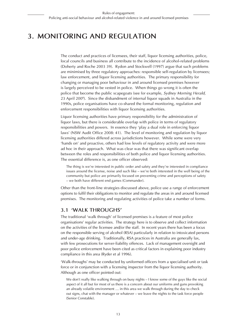# **3. Monitoring and Regulation**

The conduct and practices of licensees, their staff, liquor licensing authorities, police, local councils and business all contribute to the incidence of alcohol-related problems (Doherty and Roche 2003 39). Rydon and Stockwell (1997) argue that such problems are minimised by three regulatory approaches: responsible self-regulation by licensees; law enforcement, and liquor licensing authorities. The primary responsibility for changing or managing poor behaviour in and around licensed premises however is largely perceived to be vested in police. When things go wrong it is often the police that become the public scapegoats (see for example, *Sydney Morning Herald,* 23 April 200<sup>8</sup>). Since the disbandment of internal liquor squads in Australia in the 1990s, police organisations have co-shared the formal monitoring, regulation and enforcement responsibilities with liquor licensing authorities.

Liquor licensing authorities have primary responsibility for the administration of liquor laws, but there is considerable overlap with police in terms of regulatory responsibilities and powers. In essence they 'play a dual role in enforcing liquor laws' (NSW Audit Office 2008: 41). The level of monitoring and regulation by liquor licensing authorities differed across jurisdictions however. While some were very 'hands on' and proactive, others had low levels of regulatory activity and were more ad hoc in their approach. What was clear was that there was significant overlap between the roles and responsibilities of both police and liquor licensing authorities. The essential difference is, as one officer observed:

The thing is we're interested in public order and safety and they're interested in compliance issues around the license, noise and such like – we're both interested in the well being of the community but police are primarily focused on preventing crime and perceptions of safety – we both have different end games (Commander).

Other than the front-line strategies discussed above, police use a range of enforcement options to fulfil their obligations to monitor and regulate the areas in and around licensed premises. The monitoring and regulating activities of police take a number of forms.

### **3.1 'Walk throughs'**

The traditional 'walk through' of licensed premises is a feature of most police organisations' regular activities. The strategy here is to observe and collect information on the activities of the licensee and/or the staff. In recent years there has been a focus on the responsible serving of alcohol (RSA) particularly in relation to intoxicated persons and under-age drinking. Traditionally, RSA practices in Australia are generally lax, with few prosecutions for server-liability offences. Lack of management oversight and poor police enforcement have been cited as critical factors in explaining poor industry compliance in this area (Ryder et al 1996).

'Walk-throughs' may be conducted by uniformed officers from a specialised unit or task force or in conjunction with a licensing inspector from the liquor licensing authority. Although as one officer pointed out:

We don't really like walking through on busy nights – I know some of the guys like the social aspect of it all but for most of us there is a concern about our uniforms and guns provoking an already volatile environment … in this area we walk through during the day to check out signs, chat with the manager or whatever – we leave the nights to the task force people (Senior Constable).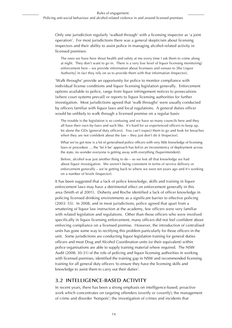Only one jurisdiction regularly 'walked through' with a licensing inspector as 'a joint operation'. For most jurisdictions there was a general skepticism about licensing inspectors and their ability to assist police in managing alcohol-related activity in licensed premises:

The ones we have here shout health and safety at me every time I ask them to come along at night. They don't want to go in. There is a very low level of liquor licensing monitoring/ enforcement here – we provide information about licensees and venues to [the Liquor Authority] in fact they rely on us to provide them with that information (Inspector).

'Walk throughs' provide an opportunity for police to monitor compliance with individual license conditions and liquor licensing legislation generally. Enforcement options available to police, range from liquor infringement notices to prosecutions (where court systems prevail) or reports to liquor licensing authorities for further investigation. Most jurisdictions agreed that 'walk throughs' were usually conducted by officers familiar with liquor laws and local regulations. A general duties officer would be unlikely to walk through a licensed premise on a regular basis:

The trouble is the legislation is so confusing and we have so many councils here and they all have their own by-laws and such like. It's hard for us experienced officers to keep up, let alone the GDs [general duty officers]. You can't expect them to go and look for breaches when they are not confident about the law – they just don't do it (Inspector).

What we've got now is a lot of generalised police officers with very little knowledge of licensing laws or procedure ... the 'let it be' approach has led to an inconsistency of deployment across the state, no wonder everyone is getting away with everything (Superintendent).

Before, alcohol was just another thing to do – so we lost all that knowledge we had about liquor investigation. We weren't being consistent in terms of service delivery or enforcement generally – we're getting back to where we were ten years ago and it's working on a number of levels (Inspector).

It has been suggested that a lack of police knowledge, skills and training in liquor enforcement laws may have a detrimental effect on enforcement generally in this area (Smith et al 2001). Doherty and Roche identified a lack of officer knowledge in policing licensed drinking environments as a significant barrier to effective policing (2003: 55). In 2008, and in most jurisdictions, police agreed that apart from a smattering of liquor law instruction at the academy, few officers were very familiar with related legislation and regulations. Other than those officers who were involved specifically in liquor licensing enforcement, many officers did not feel confident about enforcing compliance on a licensed premise. However, the introduction of centralised units has gone some way to rectifying this problem particularly for those officers in the unit. Some jurisdictions are conducting liquor legislation training for general duties officers and most Drug and Alcohol Coordination units (or their equivalent) within police organisations are able to supply training material where required. The NSW Audit (2008: 30-31) of the role of policing and liquor licensing authorities in working with licensed premises, identified the training gap in NSW and recommended licensing training for all general duty officers 'to ensure they have the licensing skills and knowledge to assist them to carry out their duties'.

#### **3.2 Intelligence-based activity**

In recent years, there has been a strong emphasis on intelligence-based, proactive work which concentrates on targeting offenders (overtly or covertly); the management of crime and disorder 'hotspots'; the investigation of crimes and incidents that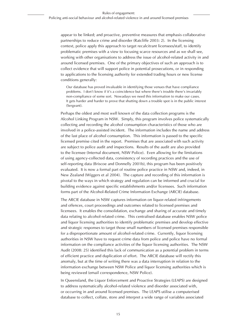appear to be linked; and proactive, preventive measures that emphasis collaborative partnerships to reduce crime and disorder (Ratcliffe 2003: 2). In the licensing context, police apply this approach to target recalcitrant licensees/staff, to identify problematic premises with a view to focusing scarce resources and as we shall see, working with other organisations to address the issue of alcohol-related activity in and around licensed premises. One of the primary objectives of such an approach is to collect evidence that will support police in potential prosecutions, or in responding to applications to the licensing authority for extended trading hours or new license conditions generally:

Our database has proved invaluable in identifying those venues that have compliance problems. I don't know if it's a coincidence but where there's trouble there's invariably non-compliance of some sort. Nowadays we need this information to make our cases. It gets harder and harder to prove that shutting down a trouble spot is in the public interest (Sergeant).

Perhaps the oldest and most well known of the data collection programs is the Alcohol Linking Program in NSW. Simply, this program involves police systematically collecting and recording the alcohol consumption characteristics of those who are involved in a police-assisted incident. The information includes the name and address of the last place of alcohol consumption. This information is passed to the specific licensed premise cited in the report. Premises that are associated with such activity are subject to police audit and inspections. Results of the audit are also provided to the licensee (Internal document, NSW Police). Even allowing for the limitations of using agency-collected data, consistency of recording practices and the use of self-reporting data (Briscoe and Donnelly 2001b), this program has been positively evaluated. It is now a formal part of routine police practice in NSW and, indeed, in New Zealand (Wiggers et al 2004). The capture and recording of this information is pivotal to the ways in which strategy and regulation can be informed and crucial for building evidence against specific establishments and/or licensees. Such information forms part of the Alcohol-Related Crime Information Exchange (ARCIE) database.

The ARCIE database in NSW captures information on liquor-related infringements and offences, court proceedings and outcomes related to licensed premises and licensees. It enables the consolidation, exchange and sharing of accurate and timely data relating to alcohol-related crime. This centralised database enables NSW police and liquor licensing authorities to identify problematic premises and develop effective and strategic responses to target those small numbers of licensed premises responsible for a disproportionate amount of alcohol-related crime. Currently, liquor licensing authorities in NSW have to request crime data from police and police have no formal information on the compliance activities of the liquor licensing authorities. The NSW Audit (2008: 25) identified this lack of communication as a potential problem in terms of efficient practice and duplication of effort. The ARCIE database will rectify this anomaly, but at the time of writing there was a data interruption in relation to the information exchange between NSW Police and liquor licensing authorities which is being reviewed (email correspondence, NSW Police).

In Queensland, the Liquor Enforcement and Proactive Strategies (LEAPS) are designed to address systematically alcohol-related violence and disorder associated with, or occurring in and around licensed premises. The LEAPS utilise a computerised database to collect, collate, store and interpret a wide range of variables associated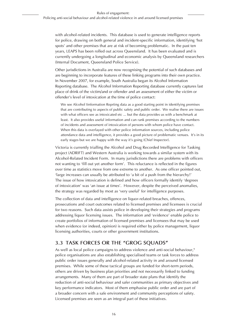with alcohol-related incidents. This database is used to generate intelligence reports for police, drawing on both general and incident-specific information, identifying 'hot spots' and other premises that are at risk of becoming problematic. In the past ten years, LEAPS has been rolled out across Queensland. It has been evaluated and is currently undergoing a longitudinal and economic analysis by Queensland researchers (Internal Document, Queensland Police Service).

Other jurisdictions in Australia are now recognising the potential of such databases and are beginning to incorporate features of these linking programs into their own practice. In November 2007, for example, South Australia began its Alcohol Information Reporting database. The Alcohol Information Reporting database currently captures last place of drink of the victim/and or offender and an assessment of either the victim or offender's level of intoxication at the time of police contact:

We see Alcohol Iinformation Reprting data as a good starting point in identifying premises that are contributing to aspects of public safety and public order. We realise there are issues with what officers see as intoxicated etc ... but the data provides us with a benchmark at least. It also provides useful information and can rank premises according to the numbers of incidents and assessment of intoxication of persons with whom police have contact. When this data is overlayed with other police information sources, including police attendance data and intelligence, it provides a good picture of problematic venues. It's in its early stages but we are happy with the way it's going (Chief Inspector).

Victoria is currently trialling the Alcohol and Drug Recorded Intelligence for Tasking project (ADRIFT) and Western Australia is working towards a similar system with its Alcohol-Related Incident Form. In many jurisdictions there are problems with officers not wanting to 'fill out yet another form'. This reluctance is reflected in the figures over time as statistics move from one extreme to another. As one officer pointed out, 'large increases can usually be attributed to 'a bit of a push from the hierarchy!' The issue of how intoxication is defined and how officers formally identify 'degrees of intoxication' was 'an issue at times'. However, despite the perceived anomalies, the strategy was regarded by most as 'very useful' for intelligence purposes.

The collection of data and intelligence on liquor-related breaches, offences, prosecutions and court outcomes related to licensed premises and licensees is crucial for two reasons. Such data assists police in developing their strategies and programs addressing liquor licensing issues. The information and 'evidence' enable police to create portfolios of information of licensed premises and licensees that may be used when evidence (or indeed, opinion) is required either by police management, liquor licensing authorities, courts or other government institutions.

### **3.3 Task Forces or the "Grog Squads"**

As well as local police campaigns to address violence and anti-social behaviour,<sup>9</sup> police organisations are also establishing specialised teams or task forces to address public order issues generally and alcohol-related activity in and around licensed premises. While some of these tactical groups are funded for short-term periods, others are driven by business plan priorities and not necessarily linked to funding arrangements. Many of them are part of broader state plans that identify the reduction of anti-social behaviour and safer communities as primary objectives and key performance indicators. Most of them emphasise public order and are part of a broader concern with a safe environment and community perceptions of safety. Licensed premises are seen as an integral part of these initiatives.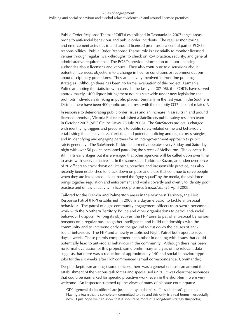Public Order Response Teams (PORTs) established in Tasmania in 2007 target areas prone to anti-social behaviour and public order incidents. The regular monitoring and enforcement activities in and around licensed premises is a central part of PORTs' responsibilities. Public Order Response Teams' role is essentially to monitor licensed venues through regular 'walk-throughs' to check on RSA practice, security, and general administrative requirements. The PORTs provide information to liquor licensing authorities about licensees and venues. They also contribute to discussions about potential licensees, objections to a change in license conditions or recommendations about disciplinary procedures. They are actively involved in front-line policing strategies. Although there has been no formal evaluation of this project, Tasmania Police are noting the statistics with care. In the last year (07-08), the PORTs have served approximately 1400 liquor infringement notices statewide under new legislation that prohibits individuals drinking in public places. Similarly in the last year, in the Southern District, there have been 400 public order arrests with the majority (337) alcohol-related<sup>10</sup>.

In response to deteriorating public order issues and an increase in assaults in and around licensed premises, Victoria Police established a SafeStreets public safety research team in October 2007 (ABC Online News 28 July 2008). The SafeStreets project is charged with identifying triggers and precursors to public safety-related crime and behaviour; establishing the effectiveness of existing and potential policing and regulatory strategies, and in identifying and engaging partners for an inter-government approach to public safety generally. The SafeStreets Taskforce currently operates every Friday and Saturday night with over 50 police personnel patrolling the streets of Melbourne. The concept is still in its early stages but it is envisaged that other agencies will be called upon over time to assist with safety initiatives<sup>11</sup>. In the same state, Taskforce Razon, an undercover force of 20 officers to crack down on licensing breaches and irresponsible practice, has also recently been established to 'crack down on pubs and clubs that continue to serve people when they are intoxicated'. Nick-named the "grog squad" by the media, the task force brings together regulation and enforcement and works covertly and overtly to identify poor practice and unlawful activity in licensed premises (*Herald Sun* 25 April 2008).

Tailored for the Darwin and Palmerston areas in the Northern Territory, the First Response Patrol (FRP) established in 2008 is a daytime patrol to tackle anti-social behaviour. The patrol of eight community engagement officers (non-sworn personnel) work with the Northern Territory Police and other organisations to patrol anti-social behaviour hotspots. Among its objectives, the FRP aims to patrol anti-social behaviour hotspots on a regular basis to gather intelligence and build relationships with the community and to intervene early on the ground to cut down the causes of antisocial behaviour. The FRP and a newly established Night Patrol both operate seven days a week. These patrols complement each other in dealing with issues that could potentially lead to anti-social behaviour in the community. Although there has been no formal evaluation of this project, some preliminary analysis of the relevant data suggests that there was a reduction of approximately 140 anti-social behaviour type jobs for the six weeks after FRP commenced (email correspondence, Commander).

Despite skepticism amongst some officers, there was a general enthusiasm around the establishment of the various task forces and specialised units. It was clear that resources that could be earmarked for specific proactive work, even in the short-term, were very welcome. An Inspector summed up the views of many of his state counterparts:

GD's [general duties officers] are just too busy to do this stuff – so it doesn't get done. Having a team that is completely committed to this and this only is a real bonus – especially now. I just hope we can show that it should be more of a long-term strategy (Inspector).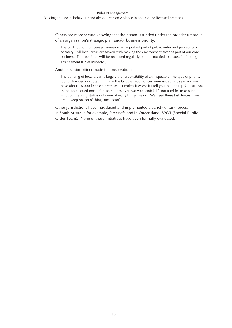Others are more secure knowing that their team is funded under the broader umbrella of an organisation's strategic plan and/or business priority:

The contribution to licensed venues is an important part of public order and perceptions of safety. All local areas are tasked with making the environment safer as part of our core business. The task force will be reviewed regularly but it is not tied to a specific funding arrangement (Chief Inspector).

Another senior officer made the observation:

The policing of local areas is largely the responsibility of an Inspector. The type of priority it affords is demonstrated I think in the fact that 200 notices were issued last year and we have about 18,000 licensed premises. It makes it worse if I tell you that the top four stations in the state issued most of those notices over two weekends! It's not a criticism as such – liquor licensing stuff is only one of many things we do. We need these task forces if we are to keep on top of things (Inspector).

Other jurisdictions have introduced and implemented a variety of task forces. In South Australia for example, Streetsafe and in Queensland, SPOT (Special Public Order Team). None of these initiatives have been formally evaluated.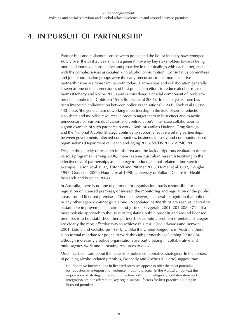# **4. In Pursuit of Partnership**

Partnerships and collaborations between police and the liquor industry have emerged slowly over the past 25 years, with a general move by key stakeholders towards being more collaborative, consultative and proactive in their dealings with each other, and with the complex issues associated with alcohol consumption. Consultative committees and joint coordination groups were the early precursors to the more extensive partnerships we are more familiar with today. Partnerships and collaboration generally is seen as one of the cornerstones of best practice in efforts to reduce alcohol-related harms (Doherty and Roche 2003) and is considered a crucial component of 'problemorientated policing' (Goldstein 1990; Bullock et al 2006). In recent years there has been inter-state collaboration between police organisations<sup>12</sup>. As Bullock et al (2006: 143) note, 'the general aim of working in partnership in the field of crime reduction is to share and mobilise resources in order to target them to best effect and to avoid unnecessary confusion, duplication and contradiction'. Inter-state collaboration is a good example of such partnership work. Both Australia's National Drug Strategy and the National Alcohol Strategy continue to support effective working partnerships between governments, affected communities, business, industry and community-based organisations (Department of Health and Aging 2006; MCDS 2006; APMC 2005).

Despite the paucity of research in this area and the lack of rigorous evaluation of the various programs (Fleming 2006), there is some Australian research testifying to the effectiveness of partnerships as a strategy to reduce alcohol-related crime (see for example, Felson et al 1997; Trifonoff and Pfitzner 2005; Homel et al 1997; Douglas 1998; Gray et al 2000; Hauritz et al 1998; University of Ballarat Centre for Health Research and Practice 2004).

In Australia, there is no one department or organisation that is responsible for the regulation of licensed premises, or indeed, the monitoring and regulation of the public areas around licensed premises. There is however, a general recognition that police or any other agency cannot go it alone. Negotiated partnerships are seen as 'central to sustainable improvements in crime and justice' (Fitzgerald 2001: 202-208; 371). If a more holistic approach to the issue of regulating public order in and around licensed premises is to be established, then partnerships adopting problem-orientated strategies are clearly the most effective way to achieve this result (see Edwards and Benyon 2001; Liddle and Gelsthorpe 1994). Unlike the United Kingdom, in Australia there is no formal mandate for police to work through partnerships (Fleming 2006: 88), although increasingly police organisations are participating in collaborative and multi-agency work and allocating resources to do so.

Much has been said about the benefits of police collaborative strategies. In the context of policing alcohol-related premises, Donnelly and Roche (2003: 98) suggest that:

Collaborative interventions in licensed premises appear to offer the most potential for reduction in interpersonal violence in public places. In the Australian context the importance of strategic direction, proactive policing, intelligence, collaboration and integration are considered the key organisational factors for best practice policing in licensed premises.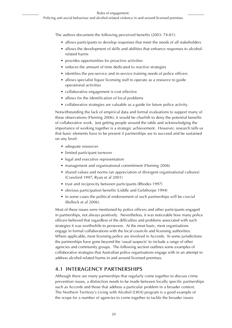The authors document the following perceived benefits (2003: 74-81):

- allows participants to develop responses that meet the needs of all stakeholders ∙
- allows the development of skills and abilities that enhance responses to alcoholrelated harms
- provides opportunities for proactive activities ∙
- reduces the amount of time dedicated to reactive strategies
- identifies the pre-service and in-service training needs of police officers
- allows specialist liquor licensing staff to operate as a resource to guide ∙ operational activities
- collaborative engagement is cost effective
- allows for the identification of local problems ∙
- collaborative strategies are valuable as a guide for future police activity. ∙

Notwithstanding the lack of empirical data and formal evaluations to support many of these observations (Fleming 2006), it would be churlish to deny the potential benefits of collaborative work. Just getting people around the table and acknowledging the importance of working together is a strategic achievement. However, research tells us that basic elements have to be present if partnerships are to succeed and be sustained on any level:

- adequate resources ∙
- limited participant turnover
- legal and executive representation
- management and organisational commitment (Fleming 2006) ∙
- shared values and norms (an appreciation of divergent organisational cultures) ∙ (Crawford 1997; Ryan et al 2001)
- trust and reciprocity between participants (Rhodes 1997)
- obvious participation benefits (Liddle and Gelsthorpe 1994)
- in some cases the political endorsement of such partnerships will be crucial (Bullock et al 2006).

Most of these issues were mentioned by police officers and other participants engaged in partnerships, not always positively. Nevertheless, it was noticeable how many police officers believed that regardless of the difficulties and problems associated with such strategies it was worthwhile to persevere. At the most basic, most organisations engage in formal collaborations with the local councils and licensing authorities. Where applicable, most licensing police are involved in Accords. In some jurisdictions the partnerships have gone beyond the 'usual suspects' to include a range of other agencies and community groups. The following section outlines some examples of collaborative strategies that Australian police organisations engage with in an attempt to address alcohol-related harms in and around licensed premises.

#### **4.1 Interagency partnerships**

Although there are many partnerships that regularly come together to discuss crime prevention issues, a distinction needs to be made between locally specific partnerships such as Accords and those that address a particular problem in a broader context. The Northern Territory's Living with Alcohol (LWA) program is a good example of the scope for a number of agencies to come together to tackle the broader issues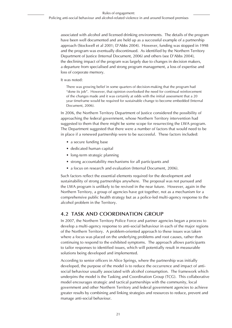associated with alcohol and licensed drinking environments. The details of the program have been well documented and are held up as a successful example of a partnership approach (Stockwell et al 2001; D'Abbs 2004). However, funding was stopped in 1998 and the program was eventually discontinued. As identified by the Northern Territory Department of Justice (Internal Document, 2006) and others (see D'Abbs 2004), the declining impact of the program was largely due to changes in decision makers, a departure from specialised and strong program management, a loss of expertise and loss of corporate memory.

#### It was noted:

There was growing belief in some quarters of decision-making that the program had "done its job". However, that opinion overlooked the need for continual reinforcement of the changes made and it was certainly at odds with the initial assessment that a 20 year timeframe would be required for sustainable change to become embedded (Internal Document, 2006).

In 2006, the Northern Territory Department of Justice considered the possibility of approaching the federal government, whose Northern Territory intervention had suggested to them that there might be some scope for resurrecting the LWA program. The Department suggested that there were a number of factors that would need to be in place if a renewed partnership were to be successful. These factors included:

- a secure funding base
- dedicated human capital
- long-term strategic planning ∙
- strong accountability mechanisms for all participants and
- a focus on research and evaluation (Internal Document, 2006). ∙

Such factors reflect the essential elements required for the development and sustainability of strong partnerships anywhere. The proposal was not pursued and the LWA program is unlikely to be revived in the near future. However, again in the Northern Territory, a group of agencies have got together, not as a mechanism for a comprehensive public health strategy but as a police-led multi-agency response to the alcohol problem in the Territory.

#### **4.2 Task and Coordination Group**

In 2007, the Northern Territory Police Force and partner agencies began a process to develop a multi-agency response to anti-social behaviour in each of the major regions of the Northern Territory. A problem-oriented approach to these issues was taken where a focus was placed on the underlying problems and root causes, rather than continuing to respond to the exhibited symptoms. The approach allows participants to tailor responses to identified issues, which will potentially result in measurable solutions being developed and implemented.

According to senior officers in Alice Springs, where the partnership was initially developed, the purpose of the model is to reduce the occurrence and impact of antisocial behaviour usually associated with alcohol consumption. The framework which underpins the model is the Tasking and Coordination Group (TCG). This collaborative model encourages strategic and tactical partnerships with the community, local government and other Northern Territory and federal government agencies to achieve greater results by combining and linking strategies and resources to reduce, prevent and manage anti-social behaviour.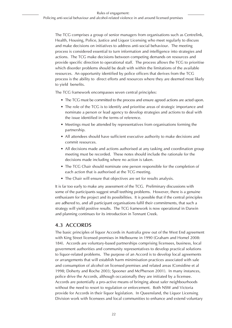The TCG comprises a group of senior managers from organisations such as Centrelink, Health, Housing, Police, Justice and Liquor Licensing who meet regularly to discuss and make decisions on initiatives to address anti-social behaviour. The meeting process is considered essential to turn information and intelligence into strategies and actions. The TCG make decisions between competing demands on resources and provide specific direction to operational staff. The process allows the TCG to prioritise which disorder problems should be dealt with within the limitations of the available resources. An opportunity identified by police officers that derives from the TCG process is the ability to direct efforts and resources where they are deemed most likely to yield benefits.

The TCG framework encompasses seven central principles:

- The TCG must be committed to the process and ensure agreed actions are acted upon.
- The role of the TCG is to identify and prioritise areas of strategic importance and nominate a person or lead agency to develop strategies and actions to deal with the issue identified in the terms of reference.
- Meetings must be attended by representatives from organisations forming the ∙ partnership.
- All attendees should have sufficient executive authority to make decisions and ∙ commit resources.
- All decisions made and actions authorised at any tasking and coordination group ∙ meeting must be recorded. These notes should include the rationale for the decisions made including where no action is taken.
- The TCG Chair should nominate one person responsible for the completion of each action that is authorised at the TCG meeting.
- The Chair will ensure that objectives are set for results analysis. ∙

It is far too early to make any assessment of the TCG. Preliminary discussions with some of the participants suggest small teething problems. However, there is a genuine enthusiasm for the project and its possibilities. It is possible that if the central principles are adhered to, and all participant organisations fulfil their commitments, that such a strategy will yield positive results. The TCG framework is now operational in Darwin and planning continues for its introduction in Tennant Creek.

#### **4.3 Accords**

The basic principles of liquor Accords in Australia grew out of the West End agreement with King Street licensed premises in Melbourne in 1990 (Graham and Homel 2008: 184). Accords are voluntary-based partnerships comprising licensees, business, local government authorities and community representatives to develop practical solutions to liquor-related problems. The purpose of an Accord is to develop local agreements or arrangements that will establish harm minimisation practices associated with sale and consumption of alcohol on licensed premises and related areas (Considine et al 1998; Doherty and Roche 2003; Spooner and McPherson 2001). In many instances, police drive the Accords, although occasionally they are initiated by a licensee. Accords are potentially a pro-active means of bringing about safer neighbourhoods without the need to resort to regulation or enforcement. Both NSW and Victoria provide for Accords in their liquor legislation. In Queensland, the Liquor Licensing Division work with licensees and local communities to enhance and extend voluntary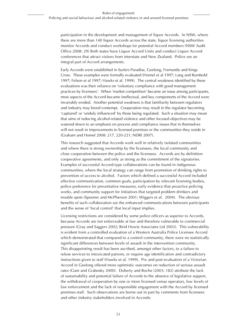participation in the development and management of liquor Accords. In NSW, where there are more than 140 liquor Accords across the state, liquor licensing authorities monitor Accords and conduct workshops for potential Accord members (NSW Audit Office 2008: 29) Both states have Liquor Accord Units and conduct Liquor Accord conferences that attract visitors from interstate and New Zealand. Police are an integral part of Accord arrangements.

Early Accords were established in Surfers Paradise, Geelong, Fremantle and Kings Cross. These examples were formally evaluated (Homel et al 1997; Lang and Rumbold 1997; Felson et al 1997; Hawks et al. 1999). The central weakness identified by these evaluations was their reliance on 'voluntary compliance with good management practices by licensees'. When 'market competition' became an issue among participants, most aspects of the Accord became ineffectual, and key components of the Accord were invariably eroded. Another potential weakness is that familiarity between regulators and industry may breed contempt. Cooperation may result in the regulator becoming 'captured' or 'unduly influenced' by those being regulated. Such a situation may mean that aims of reducing alcohol-related violence and other focused objectives may be watered down to an emphasis on process and compliance issues that in themselves will not result in improvements to licensed premises or the communities they reside in (Graham and Homel 2008: 217, 220-221; NDRI 2007).

This research suggested that Accords work well in relatively isolated communities and where there is strong ownership by the licensees, the local community and close cooperation between the police and the licensees. Accords are by definition cooperative agreements, and only as strong as the commitment of the signatories. Examples of successful Accord-type collaborations can be found in indigenous communities, where the local strategy can range from promotion of drinking rights to prevention of access to alcohol. Factors which defined a successful Accord included effective communication, common goals, participation by relevant licensing bodies, police preference for preventative measures, early evidence that proactive policing works, and community support for initiatives that targeted problem drinkers and trouble spots (Spooner and McPherson 2001; Wiggers et al. 2004). The obvious benefits of such collaboration are the enhanced communications between participants and the sense of 'local control' that local input implies.

Licensing restrictions are considered by some police officers as superior to Accords, because Accords are not enforceable at law and therefore vulnerable to commercial pressure (Gray and Saggers 2002; Reid Howie Associates Ltd 2003). This vulnerability is evident from a controlled evaluation of a Western Australia Police Licensee Accord which demonstrated that compared to a control community, there were no statistically significant differences between levels of assault in the intervention community. This disappointing result has been ascribed, amongst other factors, to a failure to refuse services to intoxicated patrons, or require age identification and contradictory instructions given to staff (Hawks et al. 1999). Pre and post-evaluation of a Victorian Accord in Geelong offered more optimistic outcomes on reduction of serious assault rates (Gant and Grabosky 2000). Doherty and Roche (2003: 182) attribute the lack of sustainability and potential failure of Accords to the absence of legislative support, the withdrawal of cooperation by one or more licensed venue operators, low levels of law enforcement and the lack of responsible engagement with the Accord by licensed premises staff. Such observations are borne out in part by comments from licensees and other industry stakeholders involved in Accords: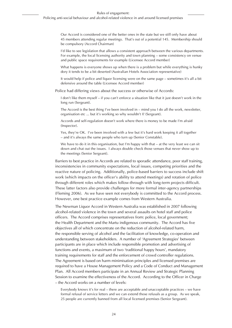Our Accord is considered one of the better ones in the state but we still only have about 45 members attending regular meetings. That's out of a potential 145. Membership should be compulsory (Accord Chairman)

I'd like to see legislation that allows a consistent approach between the various departments. For example, the local licensing authority and town planning – some consistency on venue and public space requirements for example (Licensee Accord member)

What happens is everyone shows up when there is a problem but while everything is hunky dory it tends to be a bit deserted (Australian Hotels Association representative)

It would help if police and liquor licensing were on the same page – sometimes it's all a bit defensive around the table (Licensee Accord member)

Police had differing views about the success or otherwise of Accords:

I don't like them myself – if you can't enforce a situation like that it just doesn't work in the long run (Sergeant).

The Accord is the best thing I've been involved in – mind you I do all the work, newsletter, organisation etc ... but it's working so why wouldn't I? (Sergeant).

Accords and self-regulation doesn't work where there is money to be made I'm afraid (Inspector).

Yes, they're OK. I've been involved with a few but it's hard work keeping it all together – and it's always the same people who turn up (Senior Constable).

We have to do it in this organisation, but I'm happy with that – at the very least we can sit down and chat out the issues. I always double check those venues that never show up to the meetings (Senior Sergeant).

Barriers to best practice in Accords are related to sporadic attendance, poor staff training, inconsistencies in community expectations, local issues, competing priorities and the reactive nature of policing. Additionally, police-based barriers to success include shift work (which impacts on the officer's ability to attend meetings) and rotation of police through different roles which makes follow-through with long-term projects difficult. These latter factors also provide challenges for more formal inter-agency partnerships (Fleming 2006). As we have seen not everybody is committed to the Accord process. However, one best practice example comes from Western Australia.

The Newman Liquor Accord in Western Australia was established in 2007 following alcohol-related violence in the town and several assaults on hotel staff and police officers. The Accord comprises representatives from: police, local government; the Health Department and the Martu indigenous community. The Accord has five objectives all of which concentrate on the reduction of alcohol-related harm, the responsible serving of alcohol and the facilitation of knowledge, co-operation and understanding between stakeholders. A number of 'Agreement Strategies' between participants are in place which include responsible promotion and advertising of functions and events, a maximum of two 'traditional happy hours', mandatory training requirements for staff and the enforcement of crowd controller regulations. The Agreement is based on harm minimisation principles and licensed premises are required to have a House Management Policy and a Code of Conduct and Management Plan. All Accord members participate in an Annual Review and Strategic Planning Session to examine the effectiveness of the Accord. According to the Officer in Charge – the Accord works on a number of levels:

Everybody knows it's for real – there are acceptable and unacceptable practices – we have formal refusal of service letters and we can extend those refusals as a group. As we speak, 25 people are currently banned from all local licensed premises (Senior Sergeant).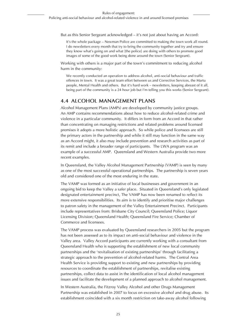But as this Senior Sergeant acknowledged – it's not just about having an Accord:

It's the whole package – Newman Police are committed to making the town work all round. I do newsletters every month that try to bring the community together and try and ensure they know what's going on and what [the police] are doing with others to promote good images of some of the good work being done around the town (Senior Sergeant).

Working with others is a major part of the town's commitment to reducing alcohol harm in the community:

We recently conducted an operation to address alcohol, anti-social behaviour and traffic offences in town. It was a great team effort between us and Corrective Services, the Martu people, Mental Health and others. But it's hard work – newsletters, keeping abreast of it all, being part of the community is a 24 hour job but I'm telling you this works (Senior Sergeant).

### **4.4 Alcohol Management Plans**

Alcohol Management Plans (AMPs) are developed by community justice groups. An AMP contains recommendations about how to reduce alcohol-related crime and violence in a particular community. It differs in form from an Accord in that rather than concentrating on managing restrictions and related problems around licensed premises it adopts a more holistic approach. So while police and licensees are still the primary actors in the partnership and while it still may function in the same way as an Accord might, it also may include prevention and research activities as part of its remit and include a broader range of participants. The LWA program was an example of a successful AMP. Queensland and Western Australia provide two more recent examples.

In Queensland, the Valley Alcohol Management Partnership (VAMP) is seen by many as one of the most successful operational partnerships. The partnership is seven years old and considered one of the most enduring in the state.

The VAMP was formed as an initiative of local businesses and government in an ongoing bid to keep the Valley a safer place. Situated in Queensland's only legislated designated entertainment precinct, The VAMP has now been renamed to reflect its more extensive responsibilities. Its aim is to identify and prioritise major challenges to patron safety in the management of the Valley Entertainment Precinct. Participants include representatives from: Brisbane City Council; Queensland Police; Liquor Licensing Division; Queensland Health; Queensland Fire Service; Chamber of Commerce and licensees.

The VAMP process was evaluated by Queensland researchers in 2005 but the program has not been assessed as to its impact on anti-social behaviour and violence in the Valley area. Valley Accord participants are currently working with a consultant from Queensland Health who is supporting the establishment of new local community partnerships and the 'revitalisation of existing partnerships' through facilitating a strategic approach to the prevention of alcohol-related harms. The Central Area Health Service is providing support to existing and new partnerships by providing resources to coordinate the establishment of partnerships, revitalise existing partnerships, collect data to assist in the identification of local alcohol management issues and facilitate the development of a planned approach to alcohol management.

In Western Australia, the Fitzroy Valley Alcohol and other Drugs Management Partnership was established in 2007 to focus on excessive alcohol and drug abuse. Its establishment coincided with a six month restriction on take-away alcohol following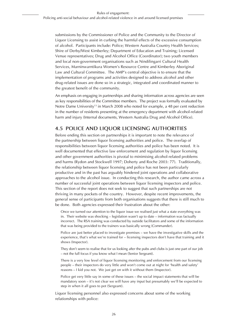submissions by the Commissioner of Police and the Community to the Director of Liquor Licensing to assist in curbing the harmful effects of the excessive consumption of alcohol. Participants include: Police; Western Australia Country Health Services; Shire of Derby/West Kimberley; Department of Education and Training; Licensed Venue representatives; Drug and Alcohol Office (Coordinator); two youth members and local non-government organisations such as Nindilingarri Cultural Health Services, Marninwarntikura Women's Resource Centre and Kimberley Aboriginal Law and Cultural Committee. The AMP's central objective is to ensure that the implementation of programs and activities designed to address alcohol and other drug-related issues are done so in a strategic, integrated and coordinated manner to the greatest benefit of the community.

An emphasis on engaging in partnerships and sharing information across agencies are seen as key responsibilities of the Committee members. The project was formally evaluated by Notre Dame University<sup>13</sup> in March 2008 who noted for example, a 48 per cent reduction in the number of residents presenting at the emergency department with alcohol-related harm and injury (Internal documents, Western Australia Drug and Alcohol Office).

### **4.5 Police and Liquor Licensing Authorities**

Before ending this section on partnerships it is important to note the relevance of the partnership between liquor licensing authorities and police. The overlap of responsibilities between liquor licensing authorities and police has been noted. It is well documented that effective law enforcement and regulation by liquor licensing and other government authorities is pivotal to minimising alcohol-related problems and harms (Rydon and Stockwell 1997; Doherty and Roche 2003: 77). Traditionally, the relationship between liquor licensing and police has not been particularly productive and in the past has arguably hindered joint operations and collaborative approaches to the alcohol issue. In conducting this research, the author came across a number of successful joint operations between liquor licensing inspectors and police. This section of the report does not seek to suggest that such partnerships are not thriving in many pockets of the country. However, despite recent improvements, the general sense of participants from both organisations suggests that there is still much to be done. Both agencies expressed their frustration about the other:

Once we turned our attention to the liquor issue we realised just what a state everything was in. Their website was shocking – legislation wasn't up to date – information was factually incorrect. The RSA training was conducted by outside facilitators and some of the information that was being provided to the trainers was basically wrong (Commander).

Police are just better placed to investigate premises – we have the investigative skills and the experience, that's what we're trained for – licensing inspectors don't have that training and it shows (Inspector).

They don't seem to realise that for us looking after the pubs and clubs is just one part of our job – not the full focus if you know what I mean (Senior Sergeant).

There is a very low level of liquor licensing monitoring and enforcement from our licensing people – their inspectors do very little and won't come out at night for 'health and safety' reasons – I kid you not. We just get on with it without them (Inspector).

Police get very little say in some of these issues – the social impact statements that will be mandatory soon – it's not clear we will have any input but presumably we'll be expected to step in when it all goes to pot (Sergeant).

Liquor licensing personnel also expressed concerns about some of the working relationships with police: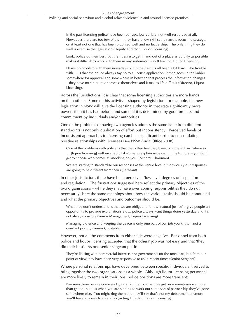In the past licensing police have been corrupt, low-calibre, not well-resourced at all. Nowadays there are too few of them, they have a low skill set, a narrow focus, no strategy, or at least not one that has been practised well and no leadership. The only thing they do well is exercise the legislation (Deputy Director, Liquor Licensing).

Look, police do their best, but their desire to get in and out of a place as quickly as possible makes it difficult to work with them in any systematic way (Director, Liquor Licensing).

I have no problem with them nowadays but in the past it's all been a bit hard. The trouble with ... is that the police always say no to a license application, it then goes up the ladder somewhere for approval and somewhere in between that process the information changes – they have no structure or process themselves and it makes life difficult (Director, Liquor Licensing).

Across the jurisdictions, it is clear that some licensing authorities are more hands on than others. Some of this activity is shaped by legislation (for example, the new legislation in NSW will give the licensing authority in that state significantly more powers than it has had before) and some of it is determined by good process and commitment by individuals and/or authorities.

One of the problems of having two agencies address the same issue from different standpoints is not only duplication of effort but inconsistency. Perceived levels of inconsistent approaches to licensing can be a significant barrier to consolidating positive relationships with licensees (see NSW Audit Office 2008).

One of the problems with police is that they often feel they have to come in hard where as … [liquor licensing] will invariably take time to explain issues etc ... the trouble is you don't get to choose who comes a' knocking do you! (Accord, Chairman).

We are starting to standardise our responses at the venue level but obviously our responses are going to be different from theirs (Sergeant).

In other jurisdictions there have been perceived 'low level degrees of inspection and regulation'. The frustrations suggested here reflect the primary objectives of the two organisations – while they may have overlapping responsibilities they do not necessarily share the same meanings about how the various tasks should be conducted and what the primary objectives and outcomes should be.

What they don't understand is that we are obliged to follow 'natural justice' – give people an opportunity to provide explanations etc ... police always want things done yesterday and it's not always possible (Senior Management, Liquor Licensing).

Managing violence and keeping the peace is only one part of our job you know – not a constant priority (Senior Constable).

However, not all the comments from either side were negative. Personnel from both police and liquor licensing accepted that the others' job was not easy and that 'they did their best'. As one senior sergeant put it:

They're liaising with commercial interests and governments for the most part, but from our point of view they have been very responsive to us in recent times (Senior Sergeant).

Where personal relationships have developed between specific individuals it served to bring together the two organisations as a whole. Although liquor licensing personnel are more likely to remain in their jobs, police positions are more transient:

I've seen these people come and go and for the most part we get on – sometimes we more than get on, but just when you are starting to work out some sort of partnership they've gone somewhere else. You might ring them and they'll say that's not my department anymore you'll have to speak to so and so (Acting Director, Liquor Licensing).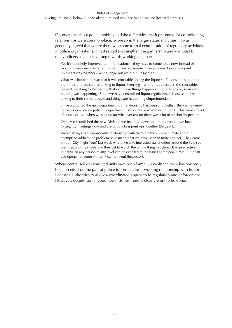Observations about police mobility and the difficulties that it presented for consolidating relationships were commonplace. More so in the larger states and cities. It was generally agreed that where there was some formal centralisation of regulatory activities in police organisations, it had served to strengthen the partnership and was cited by many officers as a positive step towards working together:

Yes it's definitely improved communications – they have to come to us now instead of pxxxxxg everyone else off at the stations – but seriously we've even done a few joint investigations together – a challenge but we did it (Inspector).

What was happening was that it was constables doing the liquor stuff, constables policing the hotels and constables talking to liquor licensing – with all due respect, the constables weren't speaking to the people that can make things happen at liquor licensing so in effect nothing was happening. Since we have centralised liquor regulation, it is our senior people talking to their senior people and things are happening (Superintendent).

Since we started the new department, our relationship has been a lot better. Before they used to use us as a private policing department just to enforce what they couldn't. This created a lot of issues for us – when we said no for whatever reason there was a lot of tension (Inspector).

Once we established the new Division we began to develop a relationship – we have fortnightly meetings now and are conducting joint ops together (Sergeant).

We've always had a reasonable relationship with them but the current climate and our attempts to address the problem have meant that we have been in more contact. They came on our 'City Night Tour' last week where we take interested stakeholders around the licensed premises and the streets and they get to watch the whole thing in action. It is an effective initiative so any person at any level can be exposed to the issues at the peak times. Bit of an eye-opener for some of them I can tell you! (Inspector).

Where centralised divisions and units have been formally established there has obviously been an effort on the part of police to form a closer working relationship with liquor licensing authorities to allow a coordinated approach to regulation and enforcement. However, despite some 'good news' stories there is clearly work to be done.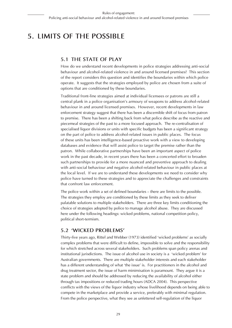# **5. Limits of the Possible**

#### **5.1 The state of play**

How do we understand recent developments in police strategies addressing anti-social behaviour and alcohol-related violence in and around licensed premises? This section of the report considers this question and identifies the boundaries within which police operate. It suggests that the strategies employed by police are chosen from a suite of options that are conditioned by these boundaries.

Traditional front-line strategies aimed at individual licensees or patrons are still a central plank in a police organisation's armoury of weapons to address alcohol-related behaviour in and around licensed premises. However, recent developments in law enforcement strategy suggest that there has been a discernible shift of focus from patron to premise. There has been a shifting back from what police describe as the reactive and piecemeal strategies of the past to a more focused approach. The re-centralisation of specialised liquor divisions or units with specific budgets has been a significant strategy on the part of police to address alcohol-related issues in public places. The focus of these units has been intelligence-based proactive work with a view to developing databases and evidence that will assist police to target the premise rather than the patron. While collaborative partnerships have been an important aspect of police work in the past decade, in recent years there has been a concerted effort to broaden such partnerships to provide for a more nuanced and preventive approach to dealing with anti-social behaviour and negative alcohol-related behaviour in public places at the local level. If we are to understand these developments we need to consider why police have turned to these strategies and to appreciate the challenges and constraints that confront law enforcement.

The police work within a set of defined boundaries – there are limits to the possible. The strategies they employ are conditioned by these limits as they seek to deliver palatable solutions to multiple stakeholders. There are three key limits conditioning the choice of strategies adopted by police to manage alcohol abuse. They are discussed here under the following headings: wicked problems, national competition policy, political short-termism.

#### **5.2 'Wicked problems'**

Thirty-five years ago, Rittel and Webber (1973) identified 'wicked problems' as socially complex problems that were difficult to define, impossible to solve and the responsibility for which stretched across several stakeholders. Such problems span policy arenas and institutional jurisdictions. The issue of alcohol use in society is a 'wicked problem' for Australian governments. There are multiple stakeholder interests and each stakeholder has a different understanding of what 'the issue' is. For practitioners in the alcohol and drug treatment sector, the issue of harm minimisation is paramount. They argue it is a state problem and should be addressed by reducing the availability of alcohol either through tax impositions or reduced trading hours (ADCA 2004). This perspective conflicts with the views of the liquor industry whose livelihood depends on being able to compete in the marketplace and provide a service, preferably with minimal regulation. From the police perspective, what they see as unfettered self-regulation of the liquor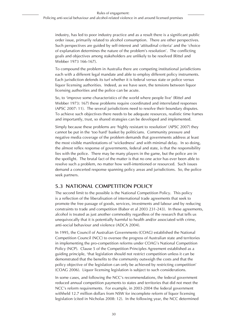industry, has led to poor industry practice and as a result there is a significant public order issue, primarily related to alcohol consumption. There are other perspectives. Such perspectives are guided by self-interest and 'attitudinal criteria' and the 'choice of explanation determines the nature of the problem's resolution'. The conflicting goals and objectives among stakeholders are unlikely to be resolved (Rittel and Webber 1973 166-167).

To compound the problem in Australia there are competing institutional jurisdictions each with a different legal mandate and able to employ different policy instruments. Each jurisdiction defends its turf whether it is federal versus state or police versus liquor licensing authorities. Indeed, as we have seen, the tensions between liquor licensing authorities and the police can be acute.

So, to 'improve some characteristics of the world where people live' (Rittel and Webber 1973: 167) these problems require coordinated and interrelated responses (APSC 2007: 11). The several jurisdictions need to resolve their boundary disputes. To achieve such objectives there needs to be adequate resources, realistic time frames and importantly, trust, so shared strategies can be developed and implemented.

Simply because these problems are 'highly resistant to resolution' (APSC 2007) they cannot be put in the 'too hard' basket by politicians. Community pressure and negative media coverage of the problem demands that governments address at least the most visible manifestations of 'wickedness' and with minimal delay. In so doing, the almost reflex response of governments, federal and state, is that the responsibility lies with the police. There may be many players in the game, but the police are in the spotlight. The brutal fact of the matter is that no one actor has ever been able to resolve such a problem, no matter how well-intentioned or resourced. Such issues demand a concerted response spanning policy areas and jurisdictions. So, the police seek partners.

### **5.3 National Competition Policy**

The second limit to the possible is the National Competition Policy. This policy is a reflection of the liberalisation of international trade agreements that seek to promote the free passage of goods, services, investments and labour and by reducing constraints to trade and competition (Babor et al 2003 231-243). In these agreements, alcohol is treated as just another commodity regardless of the research that tells us unequivocally that it is potentially harmful to health and/or associated with crime, anti-social behaviour and violence (ADCA 2004).

In 1995, the Council of Australian Governments (COAG) established the National Competition Council (NCC) to oversee the progress of Australian state and territories in implementing the pro-competition reforms under COAG's National Competition Policy (NCP). Clause 5 of the Competition Principles Agreement established as a guiding principle, 'that legislation should not restrict competition unless it can be demonstrated that the benefits to the community outweigh the costs and that the policy objective of the legislation can only be achieved by restricting competition' (COAG 2006). Liquor licensing legislation is subject to such considerations.

In some cases, and following the NCC's recommendations, the federal government reduced annual competition payments to states and territories that did not meet the NCC's reform requirements. For example, in 2003-2004 the federal government withheld 12.7 million dollars from NSW for incomplete reform of liquor licensing legislation (cited in Nicholas 2008: 12). In the following year, the NCC determined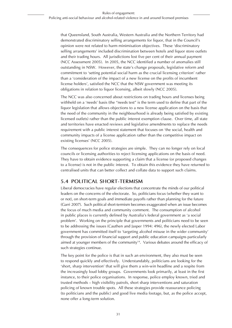that Queensland, South Australia, Western Australia and the Northern Territory had demonstrated discriminatory selling arrangements for liquor, that in the Council's opinion were not related to harm minimisation objectives. These 'discriminatory selling arrangements' included discrimination between hotels and liquor store outlets and their trading hours. All jurisdictions lost five per cent of their annual payment (NCC Assessment 2005). In 2005, the NCC identified a number of anomalies still outstanding in NSW. However, the state's change proposals, legislative reform and commitment to 'setting potential social harm as the crucial licensing criterion' rather than a 'consideration of the impact of a new license on the profits of incumbent license holders', satisfied the NCC that the NSW government was meeting its obligations in relation to liquor licensing, albeit slowly (NCC 2005).

The NCC was also concerned about restrictions on trading hours and licenses being withheld on a 'needs' basis (the "needs test" is the term used to define that part of the liquor legislation that allows objections to a new license application on the basis that the need of the community in the neighbourhood is already being satisfied by existing licensed outlets) rather than the public interest exemption clause. Over time, all state and territories have enacted reviews and legislative amendments to replace the needs requirement with a public interest statement that focuses on 'the social, health and community impacts of a license application rather than the competitive impact on existing licenses' (NCC 2005).

The consequences for police strategies are simple. They can no longer rely on local councils or licensing authorities to reject licensing applications on the basis of need. They have to obtain evidence supporting a claim that a license (or proposed changes to a license) is not in the public interest. To obtain this evidence they have returned to centralised units that can better collect and collate data to support such claims.

### **5.4 Political short-termism**

Liberal democracies have regular elections that concentrate the minds of our political leaders on the concerns of the electorate. So, politicians focus (whether they want to or not), on short-term goals and immediate payoffs rather than planning for the future (Garri 2007). Such political short-termism becomes exaggerated when an issue becomes the focus of much media and community comment. The consumption of alcohol in public places is currently defined by Australia's federal government as 'a social problem'. Working on the principle that governments and politicians need to be seen to be addressing the issues (Cauthen and Jasper 1994: 496), the newly elected Labor government has committed itself to 'targeting alcohol misuse in the wider community' through the provision of financial support and public education campaigns particularly aimed at younger members of the community14. Various debates around the efficacy of such strategies continue.

The key point for the police is that in such an environment, they also must be seen to respond quickly and effectively. Understandably, politicians are looking for the 'short, sharp intervention' that will give them a win-win headline and a respite from the increasingly loud lobby groups. Governments look primarily, at least in the first instance, to their police organisations. In response, police employ known, tried and trusted methods – high visibility patrols, short sharp interventions and saturation policing of known trouble spots. All these strategies provide reassurance policing (to politicians and the public) and good live media footage, but, as the police accept, none offer a long-term solution.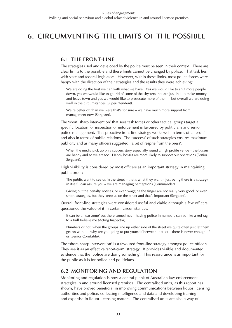# **6. Circumventing the Limits of the Possible**

#### **6.1 The Front-line**

The strategies used and developed by the police must be seen in their context. There are clear limits to the possible and these limits cannot be changed by police. That task lies with state and federal legislators. However, within these limits, most police forces were happy with the direction of their strategies and the results they were achieving:

We are doing the best we can with what we have. Yes we would like to shut more people down, yes we would like to get rid of some of the shysters that are just in it to make money and leave town and yes we would like to prosecute more of them – but overall we are doing well in the circumstances (Superintendent).

We're better off than we were that's for sure – we have much more support from management now (Sergeant).

The 'short, sharp intervention' that sees task forces or other tactical groups target a specific location for inspection or enforcement is favoured by politicians and senior police management. This proactive front-line strategy works well in terms of 'a result' and also in terms of public relations. The 'success' of such strategies ensures maximum publicity and as many officers suggested, 'a bit of respite from the press':

When the media pick up on a success story especially round a high profile venue – the bosses are happy and so we are too. Happy bosses are more likely to support our operations (Senior Sergeant).

High visibility is considered by most officers as an important strategy in maintaining public order:

The public want to see us in the street – that's what they want – just being there is a strategy in itself I can assure you – we are managing perceptions (Commander).

Giving out the penalty notices, or even wagging the finger are not really very good, or even smart strategies, but they keep us on the street and that's important (Sergeant).

Overall front-line strategies were considered useful and viable although a few officers questioned the value of it in certain circumstances:

It can be a 'war zone' out there sometimes – having police in numbers can be like a red rag to a bull believe me (Acting Inspector).

Numbers or not, when the groups line up either side of the street we quite often just let them get on with it – why are you going to put yourself between that lot – there is never enough of us (Senior Constable).

The 'short, sharp intervention' is a favoured front-line strategy amongst police officers. They see it as an effective 'short-term' strategy. It provides visible and documented evidence that the 'police are doing something'. This reassurance is as important for the public as it is for police and politicians.

### **6.2 Monitoring and Regulation**

Monitoring and regulation is now a central plank of Australian law enforcement strategies in and around licensed premises. The centralised units, as this report has shown, have proved beneficial in improving communications between liquor licensing authorities and police, collecting intelligence and data and developing training and expertise in liquor licensing matters. The centralised units are also a way of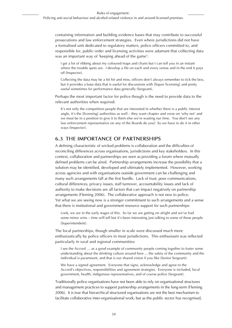containing information and building evidence bases that may contribute to successful prosecutions and law enforcement strategies. Even where jurisdictions did not have a formalised unit dedicated to regulatory matters, police officers committed to, and responsible for, public order and licensing activities were adamant that collecting data was an important way of 'keeping ahead of the game':

I get a lot of ribbing about my coloured maps and charts but I can tell you in an instant where the trouble spots are. I develop a file on each and every venue and in the end it pays off (Inspector).

Collecting the data may be a bit hit and miss, officers don't always remember to tick the box, but it provides a base data that is useful for discussions with [liquor licensing] and pretty useful sometimes for performance data generally (Sergeant).

Perhaps the most important factor for police though is the need to provide data to the relevant authorities when required:

It's not only the competition people that are interested in whether there is a public interest angle, it's the [licensing] authorities as well – they want chapter and verse on 'why not' and we must be in a position to give it to them else we're wasting our time. You don't see any law enforcement representative on any of the Boards do you? So we have to do it in other ways (Inspector).

#### **6.3 The Importance of Partnerships**

A defining characteristic of wicked problems is collaboration and the difficulties of reconciling differences across organisations, jurisdictions and key stakeholders. In this context, collaboration and partnerships are seen as providing a forum where mutually defined problems can be aired. Partnership arrangements increase the possibility that a solution may be identified, developed and ultimately implemented. However, working across agencies and with organisations outside government can be challenging and many such arrangements fall at the first hurdle. Lack of trust, poor communications, cultural differences, privacy issues, staff turnover, accountability issues and lack of authority to make decisions are all factors that can impact negatively on partnership arrangements (Fleming 2006). The collaborative approach is not new to police. Yet what we are seeing now is a stronger commitment to such arrangements and a sense that there is institutional and government resource support for such partnerships:

Look, we are in the early stages of this. So far we are getting on alright and we've had some minor wins – time will tell but it's been interesting just talking to some of these people (Superintendent).

The local partnerships, though smaller in scale were discussed much more enthusiastically by police officers in most jurisdictions. This enthusiasm was reflected particularly in rural and regional communities:

I see the Accord … as a good example of community people coming together to foster some understanding about the drinking culture around here ... the safety of the community and the individual is paramount, and that is our shared vision if you like (Senior Sergeant).

We have a signed agreement. Everyone that signs, acknowledge and agree to the Accord's objectives, responsibilities and agreement strategies. Everyone is included, local government, health, indigenous representatives, and of course police (Sergeant).

Traditionally police organisations have not been able to rely on organisational structures and management practices to support partnership arrangements in the long-term (Fleming 2006). It is true that hierarchical structured organisations are not the best mechanism to facilitate collaborative inter-organisational work, but as the public sector has recognised,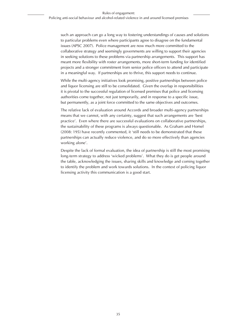such an approach can go a long way to fostering understandings of causes and solutions to particular problems even where participants agree to disagree on the fundamental issues (APSC 2007). Police management are now much more committed to the collaborative strategy and seemingly governments are willing to support their agencies in seeking solutions to these problems via partnership arrangements. This support has meant more flexibility with roster arrangements, more short-term funding for identified projects and a stronger commitment from senior police officers to attend and participate in a meaningful way. If partnerships are to thrive, this support needs to continue.

While the multi-agency initiatives look promising, positive partnerships between police and liquor licensing are still to be consolidated. Given the overlap in responsibilities it is pivotal to the successful regulation of licensed premises that police and licensing authorities come together, not just temporarily, and in response to a specific issue, but permanently, as a joint force committed to the same objectives and outcomes.

The relative lack of evaluation around Accords and broader multi-agency partnerships means that we cannot, with any certainty, suggest that such arrangements are 'best practice'. Even where there are successful evaluations on collaborative partnerships, the sustainability of these programs is always questionable. As Graham and Homel (2008: 195) have recently commented, it 'still needs to be demonstrated that these partnerships can actually reduce violence, and do so more effectively than agencies working alone'.

Despite the lack of formal evaluation, the idea of partnership is still the most promising long-term strategy to address 'wicked problems'. What they do is get people around the table, acknowledging the issues, sharing skills and knowledge and coming together to identify the problem and work towards solutions. In the context of policing liquor licensing activity this communication is a good start.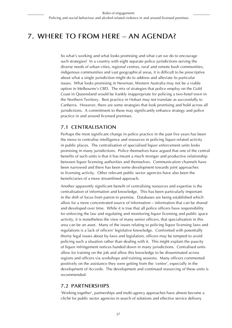# **7. Where to from here – an agenda?**

So what's working and what looks promising and what can we do to encourage such strategies? In a country with eight separate police jurisdictions serving the diverse needs of urban cities, regional centres, rural and remote bush communities, indigenous communities and vast geographical areas, it is difficult to be prescriptive about what a single jurisdiction might do to address and alleviate its particular issues. What looks promising in Newman, Western Australia may not be a viable option in Melbourne's CBD. The mix of strategies that police employ on the Gold Coast in Queensland would be frankly inappropriate for policing a two-hotel town in the Northern Territory. Best practice in Hobart may not translate as successfully to Canberra. However, there are some strategies that look promising and hold across all jurisdictions. A commitment to these may significantly enhance strategy and police practice in and around licensed premises.

#### **7.1 Centralisation**

Perhaps the most significant change in police practice in the past five years has been the move to centralise intelligence and resources in policing liquor-related activity in public places. The centralisation of specialised liquor enforcement units looks promising in many jurisdictions. Police themselves have argued that one of the central benefits of such units is that it has meant a much stronger and productive relationship between liquor licensing authorities and themselves. Communication channels have been narrowed and there has been some development towards joint approaches to licensing activity. Other relevant public sector agencies have also been the beneficiaries of a more streamlined approach.

Another apparently significant benefit of centralising resources and expertise is the centralisation of information and knowledge. This has been particularly important in the shift of focus from patron to premise. Databases are being established which allow for a more concentrated source of information – information that can be shared and developed over time. While it is true that all police officers have responsibility for enforcing the law and regulating and monitoring liquor licensing and public space activity, it is nonetheless the view of many senior officers, that specialisation in this area can be an asset. Many of the issues relating to policing liquor licensing laws and regulations is a lack of officers' legislative knowledge. Confronted with potentially thorny legal issues about by-laws and legislation, officers may be tempted to avoid policing such a situation rather than dealing with it. This might explain the paucity of liquor infringement notices handed down in many jurisdictions. Centralised units allow for training on the job and allow this knowledge to be disseminated across regions and officers via workshops and training sessions. Many officers commented positively on the assistance they were getting from the 'centre', especially in the development of Accords. The development and continued resourcing of these units is recommended.

#### **7.2 Partnerships**

'Working together', partnerships and multi-agency approaches have almost become a cliché for public sector agencies in search of solutions and effective service delivery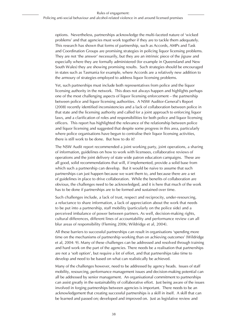options. Nevertheless, partnerships acknowledge the multi-faceted nature of 'wicked problems' and that agencies must work together if they are to tackle them adequately. This research has shown that forms of partnership, such as Accords, AMPs and Task and Coordination Groups are promising strategies in policing liquor licensing problems. They are not 'the answer' necessarily, but they are an intrinsic piece of the jigsaw and especially where they are formally administered (for example in Queensland and New South Wales) they are showing promising results. Such strategies should be encouraged in states such as Tasmania for example, where Accords are a relatively new addition to the armoury of strategies employed to address liquor licensing problems.

Yet, such partnerships must include both representatives from police and the liquor licensing authority in the network. This does not always happen and highlights perhaps one of the most challenging aspects of liquor licensing enforcement – the partnership between police and liquor licensing authorities. A NSW Auditor-General's Report (2008) recently identified inconsistencies and a lack of collaboration between police in that state and the licensing authority and called for a joint approach to enforcing liquor laws, and a clarification of roles and responsibilities for both police and liquor licensing officers. This report has highlighted the relevance of the relationship between police and liquor licensing and suggested that despite some progress in this area, particularly where police organisations have begun to centralise their liquor licensing activities, there is still work to be done. But how to do it?

The NSW Audit report recommended a joint working party, joint operations, a sharing of information, guidelines on how to work with licensees, collaborative reviews of operations and the joint delivery of state wide patron education campaigns. These are all good, solid recommendations that will, if implemented, provide a solid base from which such a partnership can develop. But it would be naive to assume that such partnerships can just happen because we want them to, and because there are a set of guidelines in place to drive collaboration. While the benefits of collaboration are obvious, the challenges need to be acknowledged, and it is here that much of the work has to be done if partnerships are to be formed and sustained over time.

Such challenges include, a lack of trust, respect and reciprocity, under-resourcing, a reluctance to share information, a lack of appreciation about the work that needs to be put into a partnership, staff mobility (particularly on the police side) and a perceived imbalance of power between partners. As well, decision-making rights, cultural differences, different lines of accountability and performance review can all blur areas of responsibility (Fleming 2006; Wildridge et al, 2004).

All these barriers to successful partnerships can result in organisations 'spending more time on the mechanisms of partnership working than on achieving outcomes' (Wildridge et al, 2004: 9). Many of these challenges can be addressed and resolved through training and hard work on the part of the agencies. There needs be a realisation that partnerships are not a 'soft option', but require a lot of effort, and that partnerships take time to develop and need to be based on what can realistically be achieved.

Many of the challenges however, need to be addressed by agency heads. Issues of staff mobility, resourcing, performance management issues and decision-making potential can all be addressed by senior management. An organisational commitment to partnerships can assist greatly in the sustainability of collaborative effort. Just being aware of the issues involved in forging partnerships between agencies is important. There needs to be an acknowledgement that creating successful partnerships is a skill in itself. A skill that can be learned and passed on; developed and improved on. Just as legislative review and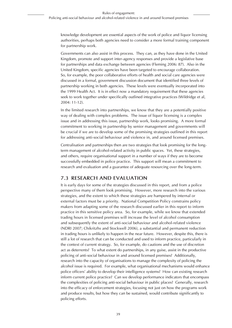knowledge development are essential aspects of the work of police and liquor licensing authorities, perhaps both agencies need to consider a more formal training component for partnership work.

Governments can also assist in this process. They can, as they have done in the United Kingdom, promote and support inter-agency responses and provide a legislative base for partnerships and data exchange between agencies (Fleming 2006: 87). Also in the United Kingdom, specific agencies have been targeted to encourage collaboration. So, for example, the poor collaborative efforts of health and social care agencies were discussed in a formal, government discussion document that identified three levels of partnership working in both agencies. These levels were eventually incorporated into the 1999 Health Act. It is in effect now a mandatory requirement that these agencies seek to work together under specifically outlined integrative practices (Wildridge et al, 2004: 11-12).

In the limited research into partnerships, we know that they are a potentially positive way of dealing with complex problems. The issue of liquor licensing is a complex issue and in addressing this issue, partnership work, looks promising. A more formal commitment to working in partnership by senior management and governments will be crucial if we are to develop some of the promising strategies outlined in this report for addressing anti-social behaviour and violence in, and around licensed premises.

Centralisation and partnerships then are two strategies that look promising for the longterm management of alcohol-related activity in public spaces. Yet, these strategies, and others, require organisational support in a number of ways if they are to become successfully embedded in police practice. This support will mean a commitment to research and evaluation and a guarantee of adequate resourcing over the long-term.

#### **7.3 Research and Evaluation**

It is early days for some of the strategies discussed in this report, and from a police perspective many of them look promising. However, more research into the various strategies, and the extent to which these strategies are hampered by internal or external factors must be a priority. National Competition Policy constrains policy makers from adapting some of the research discussed earlier in this report to inform practice in this sensitive policy area. So, for example, while we know that extended trading hours in licensed premises will increase the level of alcohol consumption and subsequently the extent of anti-social behaviour and alcohol-related violence (NDRI 2007; Chikritzhs and Stockwell 2006), a substantial and permanent reduction in trading hours is unlikely to happen in the near future. However, despite this, there is still a lot of research that can be conducted and used to inform practice, particularly in the context of current strategy. So, for example, do cautions and the use of discretion act as deterrents? To what extent do partnerships, in any guise, assist in the productive policing of anti-social behaviour in and around licensed premises? Additionally, research into the capacity of organisations to manage the complexity of policing the alcohol issue is required. For example, what organisational mechanisms would enhance police officers' ability to develop their intelligence systems? How can existing research inform current police practice? Can we develop performance indicators that encompass the complexities of policing anti-social behaviour in public places? Generally, research into the efficacy of enforcement strategies, focusing not just on how the programs work and produce results, but how they can be sustained, would contribute significantly to policing efforts.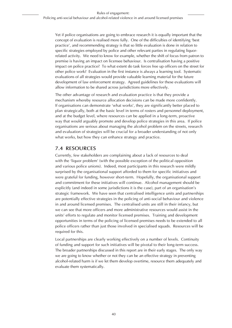Yet if police organisations are going to embrace research it is equally important that the concept of evaluation is realised more fully. One of the difficulties of identifying 'best practice', and recommending strategy is that so little evaluation is done in relation to specific strategies employed by police and other relevant parties in regulating liquorrelated activity. We need to know for example, whether the shift of focus from patron to premise is having an impact on licensee behaviour. Is centralisation having a positive impact on police practice? To what extent do task forces free up officers on the street for other police work? Evaluation in the first instance is always a learning tool. Systematic evaluations of all strategies would provide valuable learning material for the future development of law enforcement strategy. Agreed guidelines for these evaluations will allow information to be shared across jurisdictions more effectively.

The other advantage of research and evaluation practice is that they provide a mechanism whereby resource allocation decisions can be made more confidently. If organisations can demonstrate 'what works', they are significantly better placed to plan strategically, both at the basic level in terms of rosters and personnel deployment, and at the budget level, where resources can be applied in a long-term, proactive way that would arguably promote and develop police strategies in this area. If police organisations are serious about managing the alcohol problem on the streets, research and evaluation of strategies will be crucial for a broader understanding of not only what works, but how they can enhance strategy and practice.

### **7.4 Resources**

Currently, few stakeholders are complaining about a lack of resources to deal with the 'liquor problem' (with the possible exception of the political opposition and various police unions). Indeed, most participants in this research were mildly surprised by the organisational support afforded to them for specific initiatives and were grateful for funding, however short-term. Hopefully, the organisational support and commitment for these initiatives will continue. Alcohol management should be explicitly (and indeed in some jurisdictions it is the case), part of an organisation's strategic framework. We have seen that centralised intelligence units and partnerships are potentially effective strategies in the policing of anti-social behaviour and violence in and around licensed premises. The centralised units are still in their infancy, but we can see that more officers and more administrative resources would assist in the units' efforts to regulate and monitor licensed premises. Training and development opportunities in terms of the policing of licensed premises needs to be extended to all police officers rather than just those involved in specialised squads. Resources will be required for this.

Local partnerships are clearly working effectively on a number of levels. Continuity of funding and support for such initiatives will be pivotal to their long-term success. The broader partnerships discussed in this report are in their early stages. The only way we are going to know whether or not they can be an effective strategy in preventing alcohol-related harm is if we let them develop overtime, resource them adequately and evaluate them systematically.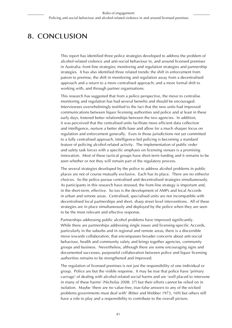# **8. Conclusion**

This report has identified three police strategies developed to address the problem of alcohol-related violence and anti-social behaviour in, and around licensed premises in Australia: front-line strategies; monitoring and regulation strategies and partnership strategies. It has also identified three related trends: the shift in enforcement from patron to premise, the shift in monitoring and regulation away from a decentralised approach and a return to a more centralised approach; and a more formal shift to working with, and through partner organisations.

This research has suggested that from a police perspective, the move to centralise monitoring and regulation has had several benefits and should be encouraged. Interviewees overwhelmingly testified to the fact that the new units had improved communications between liquor licensing authorities and police and at least in these early days, fostered better relationships between the two agencies. In addition, it was perceived that the centralised units facilitate more efficient data collection and intelligence, nurture a better skills base and allow for a much sharper focus on regulation and enforcement generally. Even in those jurisdictions not yet committed to a fully centralised approach, intelligence-led policing is becoming a standard feature of policing alcohol-related activity. The implementation of public order and safety task forces with a specific emphasis on licensing venues is a promising innovation. Most of these tactical groups have short-term funding and it remains to be seen whether or not they will remain part of the regulatory process.

The several strategies developed by the police to address alcohol problems in public places are not of course mutually exclusive. Each has its place. There are no either/or choices. So the police pursue centralised and decentralised strategies simultaneously. As participants in this research have stressed, the front-line strategy is important and, in the short-term, effective. So too is the development of AMPs and local Accords in urban and remote areas. Centralised, specialised units are not incompatible with decentralised local partnerships and short, sharp street level interventions. All of these strategies are in place simultaneously and deployed by the police when they are seen to be the most relevant and effective response.

Partnerships addressing public alcohol problems have improved significantly. While there are partnerships addressing single issues and licensing-specific Accords, particularly in the suburbs and in regional and remote areas, there is a discernible move towards collaboration, that encompasses broader concerns about anti-social behaviour, health and community safety and brings together agencies, community groups and business. Nevertheless, although there are some encouraging signs and documented successes, purposeful collaboration between police and liquor licensing authorities remains to be strengthened and improved.

The regulation of licensed premises is not just the responsibility of one individual or group. Police are but the visible response. It may be true that police have 'primary carriage' of dealing with alcohol-related social harms and are 'well placed to intervene in many of these harms' (Nicholas 2008: 37) but their efforts cannot be relied on in isolation. Maybe 'there are no value-free, true-false answers to any of the wicked problems governments must deal with' (Ritter and Webber 1973, 169) but others still have a role to play and a responsibility to contribute to the overall picture.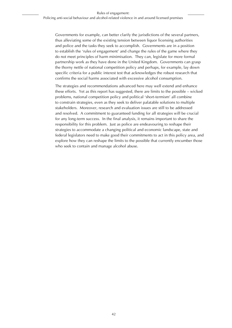Governments for example, can better clarify the jurisdictions of the several partners, thus alleviating some of the existing tension between liquor licensing authorities and police and the tasks they seek to accomplish. Governments are in a position to establish the 'rules of engagement' and change the rules of the game where they do not meet principles of harm minimisation. They can, legislate for more formal partnership work as they have done in the United Kingdom. Governments can grasp the thorny nettle of national competition policy and perhaps, for example, lay down specific criteria for a public interest test that acknowledges the robust research that confirms the social harms associated with excessive alcohol consumption.

The strategies and recommendations advanced here may well extend and enhance these efforts. Yet as this report has suggested, there are limits to the possible – wicked problems, national competition policy and political 'short-termism' all combine to constrain strategies, even as they seek to deliver palatable solutions to multiple stakeholders. Moreover, research and evaluation issues are still to be addressed and resolved. A commitment to guaranteed funding for all strategies will be crucial for any long-term success. In the final analysis, it remains important to share the responsibility for this problem. Just as police are endeavouring to reshape their strategies to accommodate a changing political and economic landscape, state and federal legislators need to make good their commitments to act in this policy area, and explore how they can reshape the limits to the possible that currently encumber those who seek to contain and manage alcohol abuse.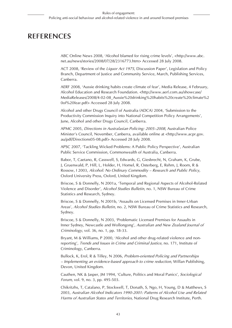### **REFERENCES**

ABC Online News 2008, 'Alcohol blamed for rising crime levels', <http://www.abc. net.au/news/stories/2008/07/28/2316773.htm> Accessed 28 July 2008.

ACT 2008, 'Review of the *Liquor Act 1975*, Discussion Paper', Legislation and Policy Branch, Department of Justice and Community Service, March, Publishing Services, Canberra.

AERF 2008, 'Aussie drinking habits create climate of fear', Media Release, 4 February, Alcohol Education and Research Foundation. <http://www.aerf.com.au/showcase/ MediaReleases/2008/4-02-08\_Aussie%20drinking%20habits%20create%20climate%2 0of%20fear.pdf> Accessed 28 July 2008.

Alcohol and other Drugs Council of Australia (ADCA) 2004, 'Submission to the Productivity Commission Inquiry into National Competition Policy Arrangements', June, Alcohol and other Drugs Council, Canberra.

APMC 2005, *Directions in Australasian Policing: 2005–2008*, Australian Police Minister's Council, November, Canberra, available online at <http://www.acpr.gov. au/pdf/Directions05-08.pdf> Accessed 28 July 2008.

APSC 2007, 'Tackling Wicked Problems: A Public Policy Perspective', Australian Public Service Commission, Commonwealth of Australia, Canberra.

Babor, T, Caetano, R, Casswell, S, Edwards, G, Giesbrecht, N, Graham, K, Grube, J, Gruenwald, P, Hill, L, Holder, H, Homel, R, Osterberg, E, Rehm, J, Room, R & Rossow, I 2003, *Alcohol: No Ordinary Commodity – Research and Public Policy*, Oxford University Press, Oxford, United Kingdom.

Briscoe, S & Donnelly, N 2001a, 'Temporal and Regional Aspects of Alcohol-Related Violence and Disorder', *Alcohol Studies Bulletin*, no. 1, NSW Bureau of Crime Statistics and Research, Sydney.

Briscoe, S & Donnelly, N 2001b, 'Assaults on Licensed Premises in Inner-Urban Areas', *Alcohol Studies Bulletin*, no. 2, NSW Bureau of Crime Statistics and Research, Sydney.

Briscoe, S & Donnelly, N 2003, 'Problematic Licensed Premises for Assaults in Inner Sydney, Newcastle and Wollongong', *Australian and New Zealand Journal of Criminology*, vol. 36, no. 1, pp. 18-33.

Bryant, M & Williams, P 2000, 'Alcohol and other drug-related violence and nonreporting', *Trends and Issues in Crime and Criminal Justice*, no. 171, Institute of Criminology, Canberra.

Bullock, K, Erol, R & Tilley, N 2006, *Problem-oriented Policing and Partnerships – Implementing an evidence-based approach to crime reduction*, Willan Publishing, Devon, United Kingdom.

Cauthen, NK & Jasper, JM 1994, 'Culture, Politics and Moral Panics', *Sociological Forum*, vol. 9, no. 3, pp. 495-503.

Chikritzhs, T, Catalano, P, Stockwell, T, Donath, S, Ngo, H, Young, D & Matthews, S 2003, *Australian Alcohol Indicators 1990-2001: Patterns of Alcohol Use and Related Harms of Australian States and Territories*, National Drug Research Institute, Perth.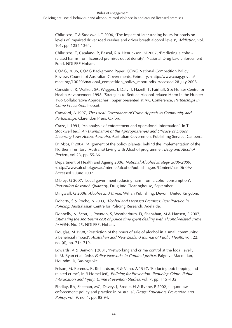Chikritzhs, T & Stockwell, T 2006, 'The impact of later trading hours for hotels on levels of impaired driver road crashes and driver breath alcohol levels', *Addiction*, vol. 101, pp. 1254-1264.

Chikritzhs, T, Catalano, P, Pascal, R & Henrickson, N 2007, 'Predicting alcoholrelated harms from licensed premises outlet density', National Drug Law Enforcement Fund, NDLERF Hobart.

COAG, 2006, COAG Background Paper: COAG National Competition Policy Review, Council of Australian Governments, February. <http://www.coag.gov.au/ meetings/100206/national\_competition\_policy\_report.pdf> Accessed 28 July 2008.

Considine, R, Walker, SA, Wiggers, J, Daly, J, Hazell, T, Fairhall, S & Hunter Centre for Health Advancement 1998, 'Strategies to Reduce Alcohol-related Harm in the Hunter: Two Collaborative Approaches', paper presented at AIC Conference, *Partnerships in Crime Prevention*, Hobart.

Crawford, A 1997, *The Local Governance of Crime Appeals to Community and Partnerships*, Clarendon Press, Oxford.

Craze, L 1994, 'An analysis of enforcement and operational information', in T Stockwell (ed.) *An Examination of the Appropriateness and Efficacy of Liquor Licensing Laws Across Australia*, Australian Government Publishing Service, Canberra.

D' Abbs, P 2004, 'Alignment of the policy planets: behind the implementation of the Northern Territory (Australia) Living with Alcohol programme', *Drug and Alcohol Review*, vol 23, pp. 55-66.

Department of Health and Ageing 2006, *National Alcohol Strategy 2006-2009*. <http://www.alcohol.gov.au/internet/alcohol/publishing.nsf/Content/nas-06-09> Accessed 5 June 2007.

Dibley, G 2007, 'Local government reducing harm from alcohol consumption', *Prevention Research Quarterly*, Drug Info Clearinghouse, September.

Dingwall, G 2006, *Alcohol and Crime*, Willan Publishing, Devon, United Kingdom.

Doherty, S & Roche, A 2003, *Alcohol and Licensed Premises: Best Practice in Policing*, Australasian Centre for Policing Research, Adelaide.

Donnelly, N, Scott, L, Poynton, S, Weatherburn, D, Shanahan, M & Hansen, F 2007, *Estimating the short-term cost of police time spent dealing with alcohol-related crime in NSW*, No. 25, NDLERF, Hobart.

Douglas, M 1998, 'Restriction of the hours of sale of alcohol in a small community: a beneficial impact', *Australian and New Zealand Journal of Public Health*, vol. 22, no. (6), pp. 714-719.

Edwards, A & Benyon, J 2001, 'Networking and crime control at the local level', in M. Ryan et al. (eds), *Policy Networks in Criminal Justice*. Palgrave Macmillan, Houndmills, Basingstoke.

Felson, M, Berends, R, Richardson, B & Veno, A 1997, 'Reducing pub hopping and related crime', in R Homel (ed), *Policing for Prevention: Reducing Crime, Public Intoxication and Injury, Crime Prevention Studies*, vol. 7, pp. 115 -132.

Findlay, RA, Sheehan, MC, Davey, J, Brodie, H & Rynne, F 2002, 'Liquor law enforcement: policy and practice in Australia', *Drugs: Education, Prevention and Policy*, vol. 9, no. 1, pp. 85-94.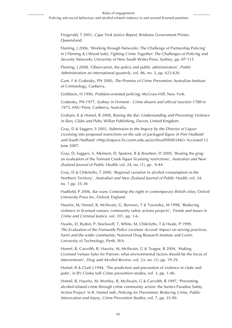Fitzgerald, T 2001, *Cape York Justice Report*, Brisbane Government Printer, Queensland.

Fleming, J 2006, 'Working through Networks: The Challenge of Partnership Policing' in J Fleming & J Wood (eds), *Fighting Crime Together: The Challenges of Policing and Security Networks*, University of New South Wales Press, Sydney, pp. 87-115

Fleming, J 2008, 'Observation, the police and public administration', *Public Administration an international quarterly*, vol. 86, no. 3, pp. 623-626

Gant, F & Grabosky, PN 2000, *The Promise of Crime Prevention*, Australian Institute of Criminology, Canberra.

Goldstein, H 1990, *Problem-oriented policing*, McGraw-Hill, New York.

Grabosky, PN 1977, *Sydney in Ferment - Crime dissent and official reaction 1788 to 1973*, ANU Press, Canberra, Australia.

Graham, K & Homel, R 2008, *Raising the Bar: Understanding and Preventing Violence in Bars, Clubs and Pubs*, Willan Publishing, Devon, United Kingdom.

Gray, D & Saggers, S 2002, *Submission to the Inquiry by the Director of Liquor Licensing into proposed restrictions on the sale of packaged liquor in Port Hedland and South Hedland*. <http://espace.lis.curtin.edu.au/archive/00000346/> Accessed 12 June 2007.

Gray, D, Saggers, S, Atkinson, D, Sputore, B & Bourbon, D 2000, 'Beating the grog: an evaluation of the Tennant Creek liquor licensing restrictions', *Australian and New Zealand Journal of Public Health*, vol. 24, no. (1), pp . 9-44.

Gray, D & Chikritzhs, T 2000, 'Regional variation in alcohol consumption in the Northern Territory', *Australian and New Zealand Journal of Public Health*, vol. 24, no. 1 pp. 35-38

Hadfield, P 2006, *Bar wars: Contesting the night in contemporary British cities*, Oxford University Press Inc, Oxford, England.

Hauritz, M, Homel, R, McIlwain, G, Burrows, T & Townsley, M 1998, 'Reducing violence in licensed venues: community safety actions projects', *Trends and Issues in Crime and Criminal Justice*, vol. 101, pp. 1-6.

Hawks, D, Rydon, P, Stockwell, T, White, M, Chikritzhs, T & Heale, P 1999, *The Evaluation of the Fremantle Police Licensee Accord: Impact on serving practices, harm and the wider community*, National Drug Research Institute and Curtin University of Technology, Perth, WA.

Homel, R, Carvolth, R, Hauritz, M, McIlwain, G & Teague, R 2004, 'Making Licensed Venues Safer for Patrons: what environmental factors should be the focus of interventions', *Drug and Alcohol Review*, vol. 23, no. (1), pp. 19-29.

Homel, R & Clark J 1994, 'The prediction and prevention of violence in clubs and pubs', in RV Clarke (ed) *Crime prevention studies*, vol. 3, pp. 1-46.

Homel, R, Hauritz, M, Wortley, R, McIlwain, G & Carvolth, R 1997, 'Preventing alcohol-related crime through crime community action: the Surfers Paradise Safety Action Project' in R. Homel (ed), *Policing for Prevention: Reducing Crime, Public Intoxication and Injury, Crime Prevention Studies*, vol. 7, pp. 35-90.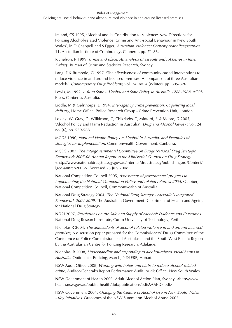Ireland, CS 1995, 'Alcohol and its Contribution to Violence: New Directions for Policing Alcohol-related Violence, Crime and Anti-social Behaviour in New South Wales', in D Chappell and S Egger, *Australian Violence: Contemporary Perspectives* 11, Australian Institute of Criminology, Canberra, pp. 71-86.

Jochelson, R 1999, *Crime and place: An analysis of assaults and robberies in Inner Sydney*, Bureau of Crime and Statistics Research, Sydney

Lang, E & Rumbold, G 1997, 'The effectiveness of community-based interventions to reduce violence in and around licensed premises: A comparison of three Australian models', *Contemporary Drug Problems*, vol. 24, no. 4 (Winter), pp. 805-826.

Lewis, M 1992, *A Rum State - Alcohol and State Policy in Australia 1788-1988*, AGPS Press, Canberra, Australia.

Liddle, M & Gelsthorpe, L 1994, *Inter-agency crime prevention: Organising local delivery*, Home Office, Police Research Group - Crime Prevention Unit, London.

Loxley, W, Gray, D, Wilkinson, C, Chikritzhs, T, Midford, R & Moore, D 2005, 'Alcohol Policy and Harm Reduction in Australia', *Drug and Alcohol Review*, vol. 24, no. (6), pp. 559-568.

MCDS 1990, *National Health Policy on Alcohol in Australia, and Examples of strategies for Implementation*, Commonwealth Government, Canberra.

MCDS 2007, *The Intergovernmental Committee on Drugs National Drug Strategic Framework 2005-06 Annual Report to the Ministerial Council on Drug Strategy*. <http://www.nationaldrugstrategy.gov.au/internet/drugstrategy/publishing.nsf/Content/ igcd-annrep2006> Accessed 25 July 2008.

National Competition Council 2005, *Assessment of governments' progress in implementing the National Competition Policy and related reforms: 2005*, October, National Competition Council, Commonwealth of Australia.

National Drug Strategy 2004, *The National Drug Strategy - Australia's Integrated Framework 2004-2009*, The Australian Government Department of Health and Ageing for National Drug Strategy.

NDRI 2007, *Restrictions on the Sale and Supply of Alcohol: Evidence and Outcomes*, National Drug Research Institute, Curtin University of Technology, Perth.

Nicholas R 2004, *The antecedents of alcohol-related violence in and around licensed premises*, A discussion paper prepared for the Commissioners' Drugs Committee of the Conference of Police Commissioners of Australasia and the South West Pacific Region by the Australasian Centre for Policing Research, Adelaide.

Nicholas, R 2008, *Understanding and responding to alcohol-related social harms in Australia*. Options for Policing, March, NDLERF, Hobart.

NSW Audit Office 2008, *Working with hotels and clubs to reduce alcohol-related crime*, Auditor-General's Report Performance Audit, Audit Office, New South Wales.

NSW Department of Health 2003, Adult Alcohol Action Plan, Sydney. <http://www. health.nsw.gov.au/public-health/dpb/publications/pdf/AAAPDF.pdf>

NSW Government 2004, *Changing the Culture of Alcohol Use in New South Wales - Key Initiatives*, Outcomes of the NSW Summit on Alcohol Abuse 2003.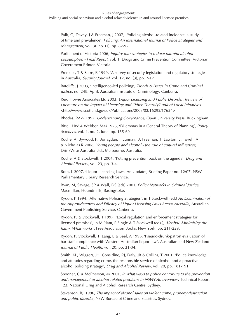Palk, G, Davey, J & Freeman, J 2007, 'Policing alcohol-related incidents: a study of time and prevalence', *Policing: An International Journal of Police Strategies and Management*, vol. 30 no. (1), pp. 82-92.

Parliament of Victoria 2006, *Inquiry into strategies to reduce harmful alcohol consumption - Final Report*, vol. 1, Drugs and Crime Prevention Committee, Victorian Government Printer, Victoria.

Prenzler, T & Sarre, R 1999, 'A survey of security legislation and regulatory strategies in Australia, *Security Journal*, vol. 12, no. (3), pp. 7-17

Ratcliffe, J 2003, 'Intelligence-led policing', *Trends & Issues in Crime and Criminal Justice*, no. 248. April, Australian Institute of Criminology, Canberra.

Reid Howie Associates Ltd 2003, *Liquor Licensing and Public Disorder: Review of Literature on the Impact of Licensing and Other Controls/Audit of Local Initiatives*. <http://www.scotland.gov.uk/Publications/2003/02/16292/17654>

Rhodes, RAW 1997, *Understanding Governance*, Open University Press, Buckingham.

Rittel, HW & Webber, MM 1973, 'Dilemmas in a General Theory of Planning', *Policy Sciences*, vol. 4, no. 2, June, pp. 155-69

Roche, A, Bywood, P, Borlagdan, J, Lunnay, B, Freeman, T, Lawton, L, Tovell, A & Nicholas R 2008, *Young people and alcohol - the role of cultural influences*, DrinkWise Australia Ltd., Melbourne, Australia.

Roche, A & Stockwell, T 2004, 'Putting prevention back on the agenda', *Drug and Alcohol Review*, vol. 23, pp. 3-4.

Roth, L 2007, 'Liquor Licensing Laws: An Update', Briefing Paper no. 12/07, NSW Parliamentary Library Research Service.

Ryan, M, Savage, SP & Wall, DS (eds) 2001, *Policy Networks in Criminal Justice*, Macmillan, Houndmills, Basingstoke.

Rydon, P 1994, 'Alternative Policing Strategies', in T Stockwell (ed.) *An Examination of the Appropriateness and Efficacy of Liquor Licensing Laws Across Australia*, Australian Government Publishing Service, Canberra.

Rydon, P, & Stockwell, T 1997, 'Local regulation and enforcement strategies for licensed premises', in M Plant, E Single & T Stockwell (eds.), *Alcohol: Minimising the harm. What works?*, Free Association Books, New York, pp. 211-229.

Rydon, P, Stockwell, T, Lang, E & Beel, A 1996, 'Pseudo-drunk-patron evaluation of bar-staff compliance with Western Australian liquor law', Australian and New Zealand *Journal of Public Health*, vol. 20, pp. 31-34.

Smith, KL, Wiggers, JH, Considine, RJ, Daly, JB & Collins, T 2001, 'Police knowledge and attitudes regarding crime, the responsible service of alcohol and a proactive alcohol policing strategy', *Drug and Alcohol Review*, vol. 20, pp. 181-191.

Spooner, C & McPherson, M 2001, *In what ways to police contribute to the prevention and management of alcohol-related problems in NSW? An overview*, Technical Report 123, National Drug and Alcohol Research Centre, Sydney.

Stevenson, RJ 1996, *The impact of alcohol sales on violent crime, property destruction and public disorder*, NSW Bureau of Crime and Statistics, Sydney.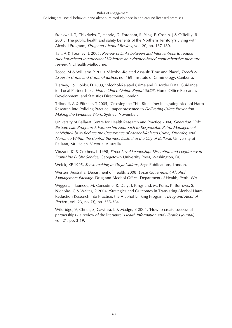Stockwell, T, Chikritzhs, T, Henrie, D, Fordham, R, Ying, F, Cronin, J & O'Reilly, B 2001, 'The public health and safety benefits of the Northern Territory's Living with Alcohol Program', *Drug and Alcohol Review*, vol. 20, pp. 167-180.

Taft, A & Toomey, L 2005, *Review of Links between and Interventions to reduce Alcohol-related Interpersonal Violence: an evidence-based comprehensive literature review*, VicHealth Melbourne.

Teece, M & Williams P 2000, 'Alcohol-Related Assault: Time and Place', *Trends & Issues in Crime and Criminal Justice*, no. 169, Institute of Criminology, Canberra.

Tierney, J & Hobbs, D 2003, 'Alcohol-Related Crime and Disorder Data: Guidance for Local Partnerships.' *Home Office Online Report 08/03*, Home Office Research, Development, and Statistics Directorate, London.

Trifonoff, A & Pfitzner, T 2005, 'Crossing the Thin Blue Line: Integrating Alcohol Harm Research into Policing Practice', paper presented to *Delivering Crime Prevention: Making the Evidence Work*, Sydney, November.

University of Ballarat Centre for Health Research and Practice 2004, *Operation Link: Be Safe Late Program: A Partnership Approach to Responsible Patrol Management at Nightclubs to Reduce the Occurrence of Alcohol-Related Crime, Disorder, and Nuisance Within the Central Business District of the City of Ballarat*, University of Ballarat, Mt. Helen, Victoria, Australia.

Vinzant, JC & Crothers, L 1998, *Street-Level Leadership: Discretion and Legitimacy in Front-Line Public Service*, Georgetown University Press, Washington, DC.

Weick, KE 1995, *Sense-making in Organisations*, Sage Publications, London.

Western Australia, Department of Health, 2008, *Local Government Alcohol Management Package*, Drug and Alcohol Office, Department of Health, Perth, WA.

Wiggers, J, Jauncey, M, Considine, R, Daly, J, Kingsland, M, Purss, K, Burrows, S, Nicholas, C & Waites, R 2004, 'Strategies and Outcomes in Translating Alcohol Harm Reduction Research Into Practice: the Alcohol Linking Program', *Drug and Alcohol Review*, vol. 23, no. (3), pp. 355-364.

Wildridge, V, Childs, S, Cawthra, L & Madge, B 2004, 'How to create successful partnerships - a review of the literature' *Health Information and Libraries Journal*, vol. 21, pp. 3-19.